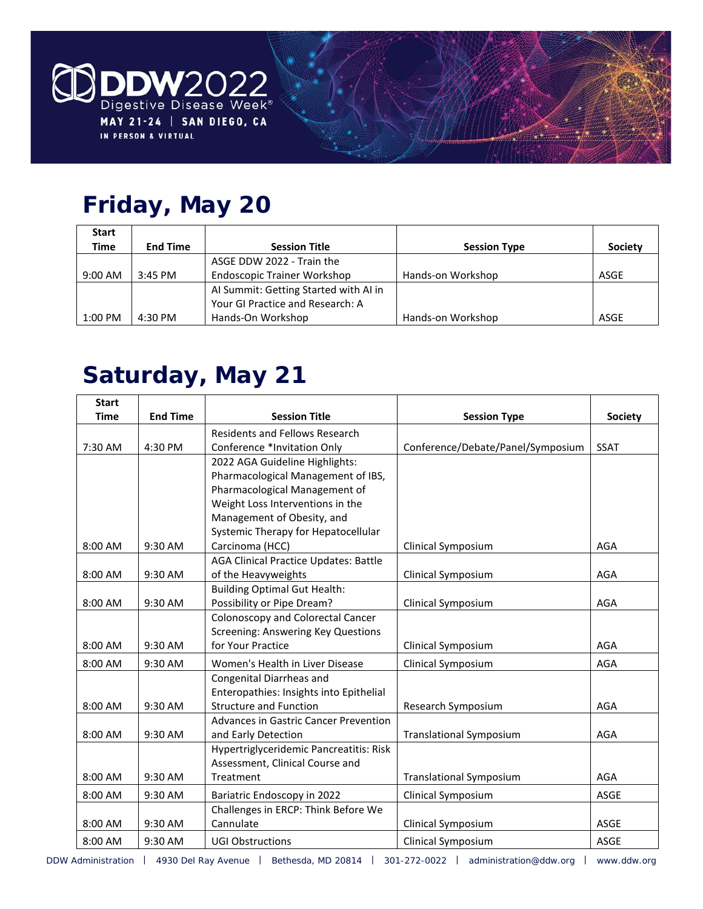

# **Friday, May 20**

| <b>Start</b> |                 |                                       |                     |                |
|--------------|-----------------|---------------------------------------|---------------------|----------------|
| Time         | <b>End Time</b> | <b>Session Title</b>                  | <b>Session Type</b> | <b>Society</b> |
|              |                 | ASGE DDW 2022 - Train the             |                     |                |
| $9:00$ AM    | $3:45$ PM       | <b>Endoscopic Trainer Workshop</b>    | Hands-on Workshop   | ASGE           |
|              |                 | Al Summit: Getting Started with Al in |                     |                |
|              |                 | Your GI Practice and Research: A      |                     |                |
| 1:00 PM      | 4:30 PM         | Hands-On Workshop                     | Hands-on Workshop   | <b>ASGE</b>    |

## **Saturday, May 21**

| <b>Start</b> |                 |                                              |                                   |                |
|--------------|-----------------|----------------------------------------------|-----------------------------------|----------------|
| <b>Time</b>  | <b>End Time</b> | <b>Session Title</b>                         | <b>Session Type</b>               | <b>Society</b> |
|              |                 | Residents and Fellows Research               |                                   |                |
| 7:30 AM      | 4:30 PM         | Conference *Invitation Only                  | Conference/Debate/Panel/Symposium | <b>SSAT</b>    |
|              |                 | 2022 AGA Guideline Highlights:               |                                   |                |
|              |                 | Pharmacological Management of IBS,           |                                   |                |
|              |                 | Pharmacological Management of                |                                   |                |
|              |                 | Weight Loss Interventions in the             |                                   |                |
|              |                 | Management of Obesity, and                   |                                   |                |
|              |                 | Systemic Therapy for Hepatocellular          |                                   |                |
| 8:00 AM      | 9:30 AM         | Carcinoma (HCC)                              | Clinical Symposium                | AGA            |
|              |                 | <b>AGA Clinical Practice Updates: Battle</b> |                                   |                |
| 8:00 AM      | 9:30 AM         | of the Heavyweights                          | Clinical Symposium                | AGA            |
|              |                 | <b>Building Optimal Gut Health:</b>          |                                   |                |
| 8:00 AM      | 9:30 AM         | Possibility or Pipe Dream?                   | Clinical Symposium                | AGA            |
|              |                 | Colonoscopy and Colorectal Cancer            |                                   |                |
|              |                 | <b>Screening: Answering Key Questions</b>    |                                   |                |
| 8:00 AM      | 9:30 AM         | for Your Practice                            | Clinical Symposium                | AGA            |
| 8:00 AM      | 9:30 AM         | Women's Health in Liver Disease              | Clinical Symposium                | AGA            |
|              |                 | Congenital Diarrheas and                     |                                   |                |
|              |                 | Enteropathies: Insights into Epithelial      |                                   |                |
| 8:00 AM      | 9:30 AM         | <b>Structure and Function</b>                | Research Symposium                | AGA            |
|              |                 | Advances in Gastric Cancer Prevention        |                                   |                |
| 8:00 AM      | 9:30 AM         | and Early Detection                          | <b>Translational Symposium</b>    | AGA            |
|              |                 | Hypertriglyceridemic Pancreatitis: Risk      |                                   |                |
|              |                 | Assessment, Clinical Course and              |                                   |                |
| 8:00 AM      | 9:30 AM         | Treatment                                    | <b>Translational Symposium</b>    | AGA            |
| 8:00 AM      | 9:30 AM         | Bariatric Endoscopy in 2022                  | Clinical Symposium                | ASGE           |
|              |                 | Challenges in ERCP: Think Before We          |                                   |                |
| 8:00 AM      | 9:30 AM         | Cannulate                                    | Clinical Symposium                | ASGE           |
| 8:00 AM      | 9:30 AM         | <b>UGI Obstructions</b>                      | Clinical Symposium                | ASGE           |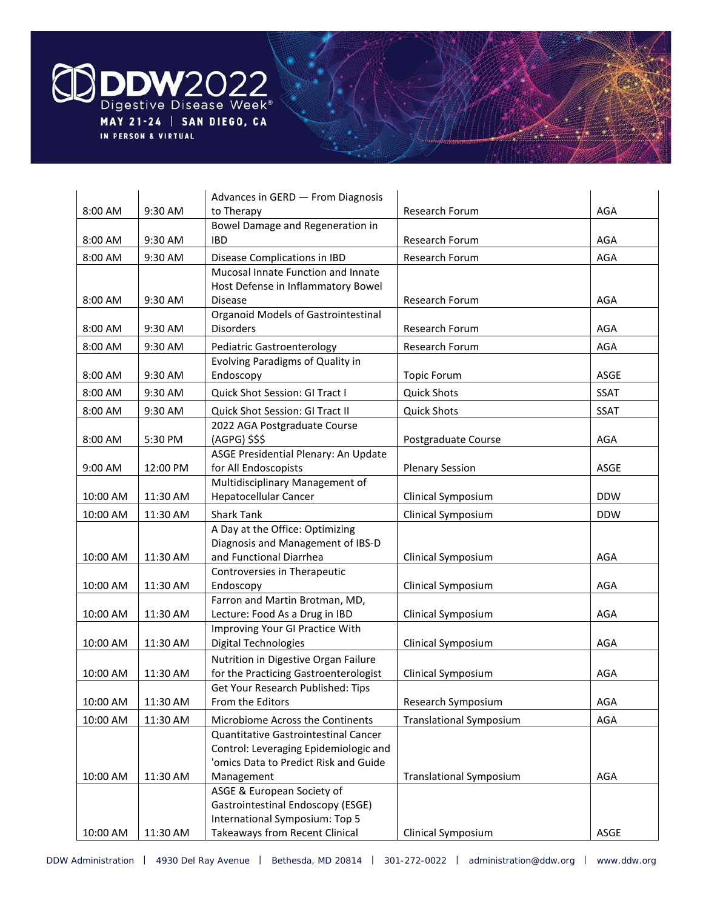

|          |          | Advances in GERD - From Diagnosis                                 |                                |            |
|----------|----------|-------------------------------------------------------------------|--------------------------------|------------|
| 8:00 AM  | 9:30 AM  | to Therapy                                                        | Research Forum                 | AGA        |
|          |          | Bowel Damage and Regeneration in                                  |                                |            |
| 8:00 AM  | 9:30 AM  | <b>IBD</b>                                                        | Research Forum                 | AGA        |
| 8:00 AM  | 9:30 AM  | Disease Complications in IBD                                      | Research Forum                 | <b>AGA</b> |
|          |          | Mucosal Innate Function and Innate                                |                                |            |
|          |          | Host Defense in Inflammatory Bowel                                |                                |            |
| 8:00 AM  | 9:30 AM  | <b>Disease</b>                                                    | Research Forum                 | AGA        |
|          |          | <b>Organoid Models of Gastrointestinal</b>                        |                                |            |
| 8:00 AM  | 9:30 AM  | <b>Disorders</b>                                                  | Research Forum                 | AGA        |
| 8:00 AM  | 9:30 AM  | <b>Pediatric Gastroenterology</b>                                 | Research Forum                 | AGA        |
|          |          | Evolving Paradigms of Quality in                                  |                                |            |
| 8:00 AM  | 9:30 AM  | Endoscopy                                                         | <b>Topic Forum</b>             | ASGE       |
| 8:00 AM  | 9:30 AM  | Quick Shot Session: GI Tract I                                    | <b>Quick Shots</b>             | SSAT       |
| 8:00 AM  | 9:30 AM  | Quick Shot Session: GI Tract II                                   | <b>Quick Shots</b>             | SSAT       |
|          |          | 2022 AGA Postgraduate Course                                      |                                |            |
| 8:00 AM  | 5:30 PM  | (AGPG) \$\$\$                                                     | Postgraduate Course            | AGA        |
|          |          | ASGE Presidential Plenary: An Update                              |                                |            |
| 9:00 AM  | 12:00 PM | for All Endoscopists                                              | <b>Plenary Session</b>         | ASGE       |
|          |          | Multidisciplinary Management of                                   |                                |            |
| 10:00 AM | 11:30 AM | Hepatocellular Cancer                                             | Clinical Symposium             | <b>DDW</b> |
| 10:00 AM | 11:30 AM | <b>Shark Tank</b>                                                 | Clinical Symposium             | <b>DDW</b> |
|          |          | A Day at the Office: Optimizing                                   |                                |            |
|          |          | Diagnosis and Management of IBS-D                                 |                                |            |
| 10:00 AM | 11:30 AM | and Functional Diarrhea                                           | Clinical Symposium             | AGA        |
|          |          | Controversies in Therapeutic                                      |                                |            |
| 10:00 AM | 11:30 AM | Endoscopy                                                         | Clinical Symposium             | AGA        |
|          |          | Farron and Martin Brotman, MD,                                    |                                |            |
| 10:00 AM | 11:30 AM | Lecture: Food As a Drug in IBD<br>Improving Your GI Practice With | Clinical Symposium             | AGA        |
| 10:00 AM | 11:30 AM | Digital Technologies                                              | Clinical Symposium             | AGA        |
|          |          | Nutrition in Digestive Organ Failure                              |                                |            |
| 10:00 AM | 11:30 AM | for the Practicing Gastroenterologist                             | Clinical Symposium             | AGA        |
|          |          | Get Your Research Published: Tips                                 |                                |            |
| 10:00 AM | 11:30 AM | From the Editors                                                  | Research Symposium             | AGA        |
| 10:00 AM | 11:30 AM | Microbiome Across the Continents                                  | <b>Translational Symposium</b> | AGA        |
|          |          | Quantitative Gastrointestinal Cancer                              |                                |            |
|          |          | Control: Leveraging Epidemiologic and                             |                                |            |
|          |          | 'omics Data to Predict Risk and Guide                             |                                |            |
| 10:00 AM | 11:30 AM | Management                                                        | <b>Translational Symposium</b> | AGA        |
|          |          | ASGE & European Society of                                        |                                |            |
|          |          | Gastrointestinal Endoscopy (ESGE)                                 |                                |            |
|          |          | International Symposium: Top 5                                    |                                |            |
| 10:00 AM | 11:30 AM | <b>Takeaways from Recent Clinical</b>                             | Clinical Symposium             | ASGE       |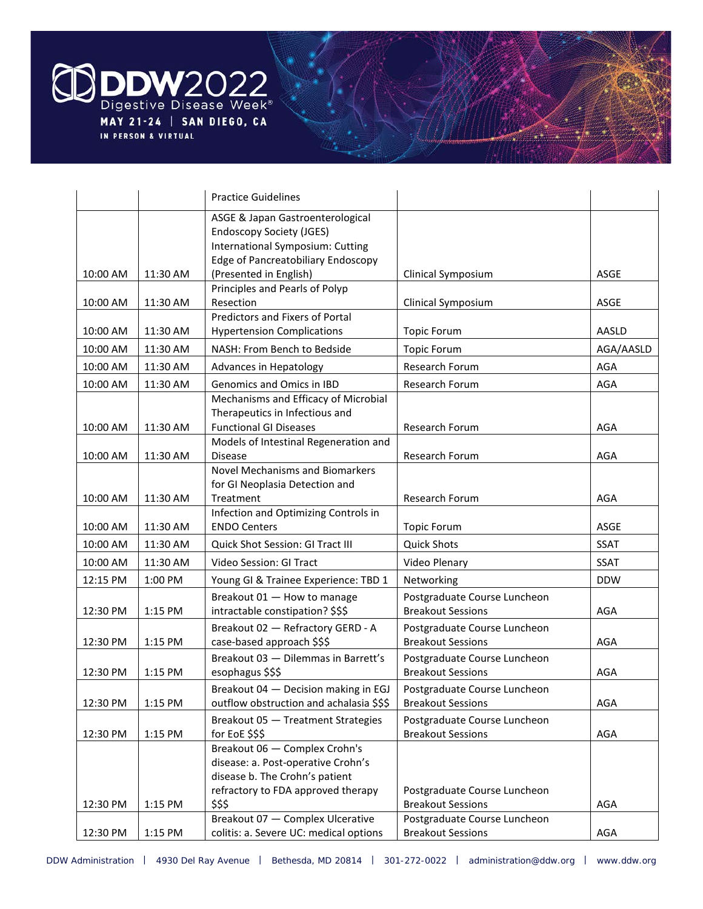

|          |          | <b>Practice Guidelines</b>                                                                                                                           |                                                          |             |
|----------|----------|------------------------------------------------------------------------------------------------------------------------------------------------------|----------------------------------------------------------|-------------|
|          |          | ASGE & Japan Gastroenterological<br><b>Endoscopy Society (JGES)</b><br>International Symposium: Cutting<br><b>Edge of Pancreatobiliary Endoscopy</b> |                                                          |             |
| 10:00 AM | 11:30 AM | (Presented in English)                                                                                                                               | Clinical Symposium                                       | ASGE        |
| 10:00 AM |          | Principles and Pearls of Polyp<br>Resection                                                                                                          | Clinical Symposium                                       | ASGE        |
|          | 11:30 AM | Predictors and Fixers of Portal                                                                                                                      |                                                          |             |
| 10:00 AM | 11:30 AM | <b>Hypertension Complications</b>                                                                                                                    | <b>Topic Forum</b>                                       | AASLD       |
| 10:00 AM | 11:30 AM | NASH: From Bench to Bedside                                                                                                                          | <b>Topic Forum</b>                                       | AGA/AASLD   |
| 10:00 AM | 11:30 AM | Advances in Hepatology                                                                                                                               | Research Forum                                           | AGA         |
| 10:00 AM | 11:30 AM | Genomics and Omics in IBD                                                                                                                            | Research Forum                                           | <b>AGA</b>  |
|          |          | Mechanisms and Efficacy of Microbial<br>Therapeutics in Infectious and                                                                               |                                                          |             |
| 10:00 AM | 11:30 AM | <b>Functional GI Diseases</b>                                                                                                                        | Research Forum                                           | AGA         |
| 10:00 AM | 11:30 AM | Models of Intestinal Regeneration and<br><b>Disease</b>                                                                                              | Research Forum                                           | AGA         |
| 10:00 AM | 11:30 AM | Novel Mechanisms and Biomarkers<br>for GI Neoplasia Detection and<br>Treatment                                                                       | Research Forum                                           | AGA         |
|          |          | Infection and Optimizing Controls in                                                                                                                 |                                                          |             |
| 10:00 AM | 11:30 AM | <b>ENDO Centers</b>                                                                                                                                  | <b>Topic Forum</b>                                       | ASGE        |
| 10:00 AM | 11:30 AM | Quick Shot Session: GI Tract III                                                                                                                     | <b>Quick Shots</b>                                       | SSAT        |
| 10:00 AM | 11:30 AM | Video Session: GI Tract                                                                                                                              | Video Plenary                                            | <b>SSAT</b> |
| 12:15 PM | 1:00 PM  | Young GI & Trainee Experience: TBD 1                                                                                                                 | Networking                                               | <b>DDW</b>  |
| 12:30 PM | 1:15 PM  | Breakout 01 - How to manage<br>intractable constipation? \$\$\$                                                                                      | Postgraduate Course Luncheon<br><b>Breakout Sessions</b> | AGA         |
| 12:30 PM | 1:15 PM  | Breakout 02 - Refractory GERD - A<br>case-based approach \$\$\$                                                                                      | Postgraduate Course Luncheon<br><b>Breakout Sessions</b> | AGA         |
| 12:30 PM | 1:15 PM  | Breakout 03 - Dilemmas in Barrett's<br>esophagus \$\$\$                                                                                              | Postgraduate Course Luncheon<br><b>Breakout Sessions</b> | AGA         |
| 12:30 PM | 1:15 PM  | Breakout 04 - Decision making in EGJ<br>outflow obstruction and achalasia \$\$\$                                                                     | Postgraduate Course Luncheon<br><b>Breakout Sessions</b> | AGA         |
| 12:30 PM | 1:15 PM  | Breakout 05 - Treatment Strategies<br>for EoE \$\$\$                                                                                                 | Postgraduate Course Luncheon<br><b>Breakout Sessions</b> | AGA         |
|          |          | Breakout 06 - Complex Crohn's<br>disease: a. Post-operative Crohn's<br>disease b. The Crohn's patient<br>refractory to FDA approved therapy          | Postgraduate Course Luncheon                             |             |
| 12:30 PM | 1:15 PM  | \$\$\$<br>Breakout 07 - Complex Ulcerative                                                                                                           | <b>Breakout Sessions</b><br>Postgraduate Course Luncheon | AGA         |
| 12:30 PM | 1:15 PM  | colitis: a. Severe UC: medical options                                                                                                               | <b>Breakout Sessions</b>                                 | AGA         |
|          |          |                                                                                                                                                      |                                                          |             |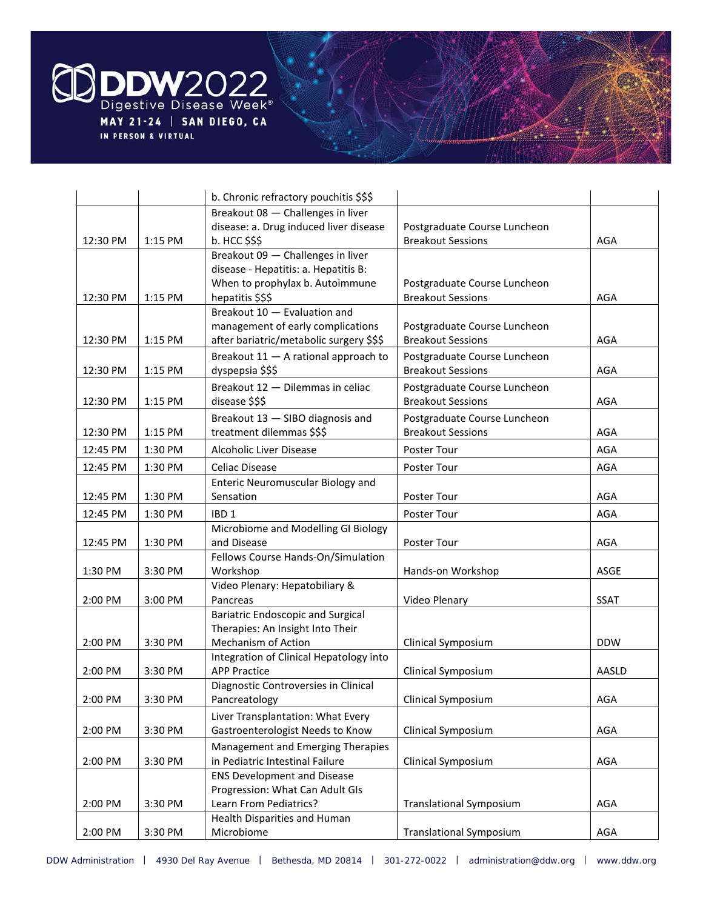

|          |         | b. Chronic refractory pouchitis \$\$\$   |                                |            |
|----------|---------|------------------------------------------|--------------------------------|------------|
|          |         | Breakout 08 - Challenges in liver        |                                |            |
|          |         | disease: a. Drug induced liver disease   | Postgraduate Course Luncheon   |            |
| 12:30 PM | 1:15 PM | b. HCC \$\$\$                            | <b>Breakout Sessions</b>       | AGA        |
|          |         | Breakout 09 - Challenges in liver        |                                |            |
|          |         | disease - Hepatitis: a. Hepatitis B:     |                                |            |
|          |         | When to prophylax b. Autoimmune          | Postgraduate Course Luncheon   |            |
| 12:30 PM | 1:15 PM | hepatitis \$\$\$                         | <b>Breakout Sessions</b>       | AGA        |
|          |         | Breakout 10 - Evaluation and             |                                |            |
|          |         | management of early complications        | Postgraduate Course Luncheon   |            |
| 12:30 PM | 1:15 PM | after bariatric/metabolic surgery \$\$\$ | <b>Breakout Sessions</b>       | AGA        |
|          |         | Breakout 11 - A rational approach to     | Postgraduate Course Luncheon   |            |
| 12:30 PM | 1:15 PM | dyspepsia \$\$\$                         | <b>Breakout Sessions</b>       | AGA        |
|          |         | Breakout 12 - Dilemmas in celiac         | Postgraduate Course Luncheon   |            |
| 12:30 PM | 1:15 PM | disease \$\$\$                           | <b>Breakout Sessions</b>       | AGA        |
|          |         | Breakout 13 - SIBO diagnosis and         | Postgraduate Course Luncheon   |            |
| 12:30 PM | 1:15 PM | treatment dilemmas \$\$\$                | <b>Breakout Sessions</b>       | AGA        |
| 12:45 PM | 1:30 PM | Alcoholic Liver Disease                  | Poster Tour                    | <b>AGA</b> |
|          |         |                                          |                                |            |
| 12:45 PM | 1:30 PM | Celiac Disease                           | Poster Tour                    | AGA        |
|          |         | Enteric Neuromuscular Biology and        |                                |            |
| 12:45 PM | 1:30 PM | Sensation                                | Poster Tour                    | AGA        |
| 12:45 PM | 1:30 PM | IBD <sub>1</sub>                         | Poster Tour                    | <b>AGA</b> |
|          |         | Microbiome and Modelling GI Biology      |                                |            |
| 12:45 PM | 1:30 PM | and Disease                              | Poster Tour                    | AGA        |
|          |         | Fellows Course Hands-On/Simulation       |                                |            |
| 1:30 PM  | 3:30 PM | Workshop                                 | Hands-on Workshop              | ASGE       |
|          |         | Video Plenary: Hepatobiliary &           |                                |            |
| 2:00 PM  | 3:00 PM | Pancreas                                 | Video Plenary                  | SSAT       |
|          |         | <b>Bariatric Endoscopic and Surgical</b> |                                |            |
|          |         | Therapies: An Insight Into Their         |                                |            |
| 2:00 PM  | 3:30 PM | Mechanism of Action                      | Clinical Symposium             | <b>DDW</b> |
|          |         | Integration of Clinical Hepatology into  |                                |            |
| 2:00 PM  | 3:30 PM | <b>APP Practice</b>                      | Clinical Symposium             | AASLD      |
|          |         | Diagnostic Controversies in Clinical     |                                |            |
| 2:00 PM  | 3:30 PM | Pancreatology                            | Clinical Symposium             | AGA        |
|          |         | Liver Transplantation: What Every        |                                |            |
| 2:00 PM  | 3:30 PM | Gastroenterologist Needs to Know         | Clinical Symposium             | AGA        |
|          |         | Management and Emerging Therapies        |                                |            |
| 2:00 PM  | 3:30 PM | in Pediatric Intestinal Failure          | Clinical Symposium             | AGA        |
|          |         | <b>ENS Development and Disease</b>       |                                |            |
|          |         | Progression: What Can Adult GIs          |                                |            |
| 2:00 PM  | 3:30 PM | Learn From Pediatrics?                   | <b>Translational Symposium</b> | AGA        |
|          |         | Health Disparities and Human             |                                |            |
| 2:00 PM  | 3:30 PM | Microbiome                               | <b>Translational Symposium</b> | AGA        |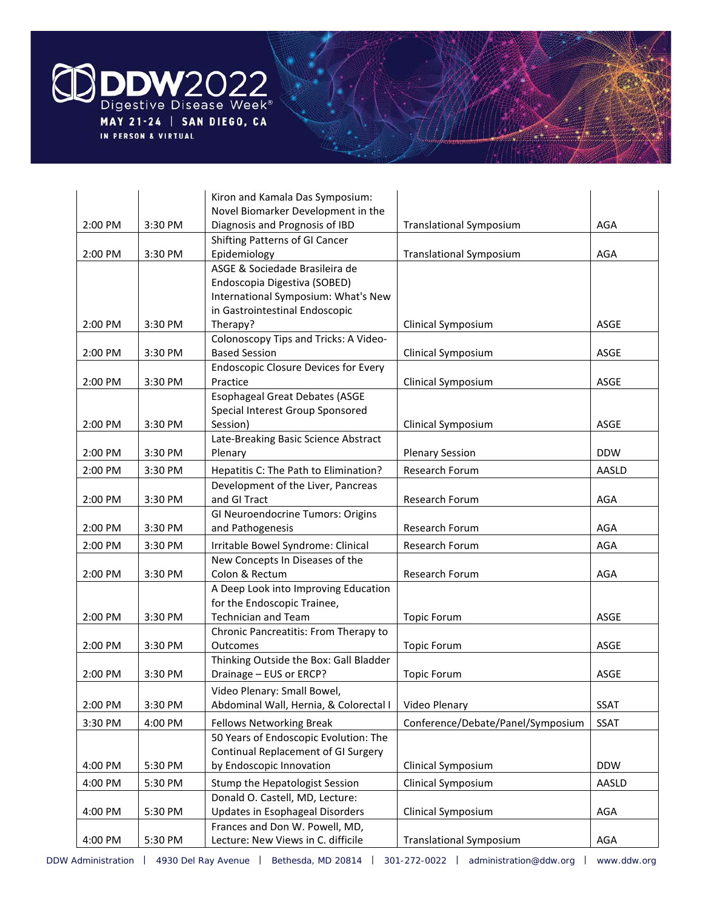

|           |         | Kiron and Kamala Das Symposium:             |                                   |             |
|-----------|---------|---------------------------------------------|-----------------------------------|-------------|
|           |         | Novel Biomarker Development in the          |                                   |             |
| 2:00 PM   | 3:30 PM | Diagnosis and Prognosis of IBD              | <b>Translational Symposium</b>    | AGA         |
|           |         | Shifting Patterns of GI Cancer              |                                   |             |
| 2:00 PM   | 3:30 PM | Epidemiology                                | <b>Translational Symposium</b>    | AGA         |
|           |         | ASGE & Sociedade Brasileira de              |                                   |             |
|           |         | Endoscopia Digestiva (SOBED)                |                                   |             |
|           |         | International Symposium: What's New         |                                   |             |
|           |         | in Gastrointestinal Endoscopic              |                                   |             |
| 2:00 PM   | 3:30 PM | Therapy?                                    | Clinical Symposium                | ASGE        |
|           |         | Colonoscopy Tips and Tricks: A Video-       |                                   |             |
| 2:00 PM   | 3:30 PM | <b>Based Session</b>                        | Clinical Symposium                | ASGE        |
|           |         | <b>Endoscopic Closure Devices for Every</b> |                                   |             |
| 2:00 PM   | 3:30 PM | Practice                                    | Clinical Symposium                | ASGE        |
|           |         | <b>Esophageal Great Debates (ASGE</b>       |                                   |             |
|           |         | Special Interest Group Sponsored            |                                   |             |
| 2:00 PM   | 3:30 PM | Session)                                    | Clinical Symposium                | ASGE        |
|           |         | Late-Breaking Basic Science Abstract        |                                   |             |
| 2:00 PM   | 3:30 PM | Plenary                                     | <b>Plenary Session</b>            | <b>DDW</b>  |
| 2:00 PM   | 3:30 PM | Hepatitis C: The Path to Elimination?       | Research Forum                    | AASLD       |
|           |         | Development of the Liver, Pancreas          |                                   |             |
| 2:00 PM   | 3:30 PM | and GI Tract                                | Research Forum                    | AGA         |
|           |         | GI Neuroendocrine Tumors: Origins           |                                   |             |
| 2:00 PM   | 3:30 PM | and Pathogenesis                            | Research Forum                    | AGA         |
| 2:00 PM   | 3:30 PM | Irritable Bowel Syndrome: Clinical          | Research Forum                    | AGA         |
|           |         | New Concepts In Diseases of the             |                                   |             |
| 2:00 PM   | 3:30 PM | Colon & Rectum                              | Research Forum                    | AGA         |
|           |         | A Deep Look into Improving Education        |                                   |             |
|           |         | for the Endoscopic Trainee,                 |                                   |             |
| 2:00 PM   | 3:30 PM | <b>Technician and Team</b>                  | <b>Topic Forum</b>                | ASGE        |
|           |         | Chronic Pancreatitis: From Therapy to       |                                   |             |
| 2:00 PM   | 3:30 PM | Outcomes                                    | <b>Topic Forum</b>                | ASGE        |
|           |         | Thinking Outside the Box: Gall Bladder      |                                   |             |
| 2:00 PM   | 3:30 PM | Drainage - EUS or ERCP?                     | <b>Topic Forum</b>                | ASGE        |
|           |         | Video Plenary: Small Bowel,                 |                                   |             |
| $2:00$ PM | 3:30 PM | Abdominal Wall, Hernia, & Colorectal I      | Video Plenary                     | <b>SSAT</b> |
| 3:30 PM   | 4:00 PM | Fellows Networking Break                    | Conference/Debate/Panel/Symposium | SSAT        |
|           |         | 50 Years of Endoscopic Evolution: The       |                                   |             |
|           |         | Continual Replacement of GI Surgery         |                                   |             |
| 4:00 PM   | 5:30 PM | by Endoscopic Innovation                    | Clinical Symposium                | <b>DDW</b>  |
| 4:00 PM   | 5:30 PM | Stump the Hepatologist Session              | Clinical Symposium                | AASLD       |
|           |         | Donald O. Castell, MD, Lecture:             |                                   |             |
| 4:00 PM   | 5:30 PM | <b>Updates in Esophageal Disorders</b>      | Clinical Symposium                | AGA         |
|           |         | Frances and Don W. Powell, MD,              |                                   |             |
| 4:00 PM   | 5:30 PM | Lecture: New Views in C. difficile          | <b>Translational Symposium</b>    | AGA         |
|           |         |                                             |                                   |             |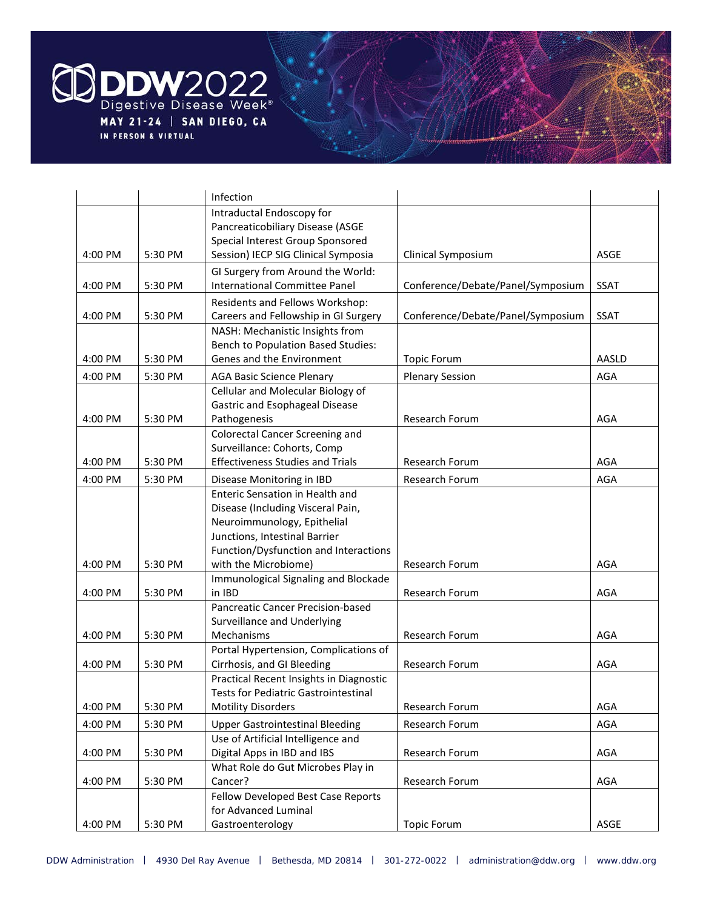

|         |         | Infection                                                             |                                   |             |
|---------|---------|-----------------------------------------------------------------------|-----------------------------------|-------------|
|         |         | Intraductal Endoscopy for                                             |                                   |             |
|         |         | Pancreaticobiliary Disease (ASGE                                      |                                   |             |
|         |         | Special Interest Group Sponsored                                      |                                   |             |
| 4:00 PM | 5:30 PM | Session) IECP SIG Clinical Symposia                                   | Clinical Symposium                | ASGE        |
|         |         | GI Surgery from Around the World:                                     |                                   |             |
| 4:00 PM | 5:30 PM | <b>International Committee Panel</b>                                  | Conference/Debate/Panel/Symposium | <b>SSAT</b> |
|         |         | Residents and Fellows Workshop:                                       |                                   |             |
| 4:00 PM | 5:30 PM | Careers and Fellowship in GI Surgery                                  | Conference/Debate/Panel/Symposium | <b>SSAT</b> |
|         |         | NASH: Mechanistic Insights from                                       |                                   |             |
|         |         | <b>Bench to Population Based Studies:</b>                             |                                   |             |
| 4:00 PM | 5:30 PM | Genes and the Environment                                             | <b>Topic Forum</b>                | AASLD       |
| 4:00 PM | 5:30 PM | <b>AGA Basic Science Plenary</b>                                      | <b>Plenary Session</b>            | <b>AGA</b>  |
|         |         | Cellular and Molecular Biology of                                     |                                   |             |
|         |         | Gastric and Esophageal Disease                                        |                                   |             |
| 4:00 PM | 5:30 PM | Pathogenesis                                                          | Research Forum                    | AGA         |
|         |         | <b>Colorectal Cancer Screening and</b>                                |                                   |             |
|         |         | Surveillance: Cohorts, Comp                                           |                                   |             |
| 4:00 PM | 5:30 PM | <b>Effectiveness Studies and Trials</b>                               | Research Forum                    | AGA         |
| 4:00 PM | 5:30 PM | Disease Monitoring in IBD                                             | Research Forum                    | <b>AGA</b>  |
|         |         | Enteric Sensation in Health and                                       |                                   |             |
|         |         | Disease (Including Visceral Pain,                                     |                                   |             |
|         |         | Neuroimmunology, Epithelial                                           |                                   |             |
|         |         | Junctions, Intestinal Barrier                                         |                                   |             |
|         |         | Function/Dysfunction and Interactions                                 |                                   |             |
| 4:00 PM | 5:30 PM | with the Microbiome)                                                  | Research Forum                    | AGA         |
|         |         | Immunological Signaling and Blockade                                  |                                   |             |
| 4:00 PM | 5:30 PM | in IBD                                                                | Research Forum                    | AGA         |
|         |         | Pancreatic Cancer Precision-based                                     |                                   |             |
|         |         | Surveillance and Underlying                                           |                                   |             |
| 4:00 PM | 5:30 PM | Mechanisms                                                            | Research Forum                    | AGA         |
|         |         | Portal Hypertension, Complications of                                 |                                   |             |
| 4:00 PM | 5:30 PM | Cirrhosis, and GI Bleeding<br>Practical Recent Insights in Diagnostic | Research Forum                    | AGA         |
|         |         | <b>Tests for Pediatric Gastrointestinal</b>                           |                                   |             |
| 4:00 PM | 5:30 PM | <b>Motility Disorders</b>                                             | Research Forum                    | AGA         |
|         |         |                                                                       |                                   |             |
| 4:00 PM | 5:30 PM | <b>Upper Gastrointestinal Bleeding</b>                                | Research Forum                    | AGA         |
| 4:00 PM | 5:30 PM | Use of Artificial Intelligence and<br>Digital Apps in IBD and IBS     | Research Forum                    | AGA         |
|         |         | What Role do Gut Microbes Play in                                     |                                   |             |
| 4:00 PM | 5:30 PM | Cancer?                                                               | Research Forum                    | AGA         |
|         |         | Fellow Developed Best Case Reports                                    |                                   |             |
|         |         | for Advanced Luminal                                                  |                                   |             |
| 4:00 PM | 5:30 PM | Gastroenterology                                                      | <b>Topic Forum</b>                | ASGE        |
|         |         |                                                                       |                                   |             |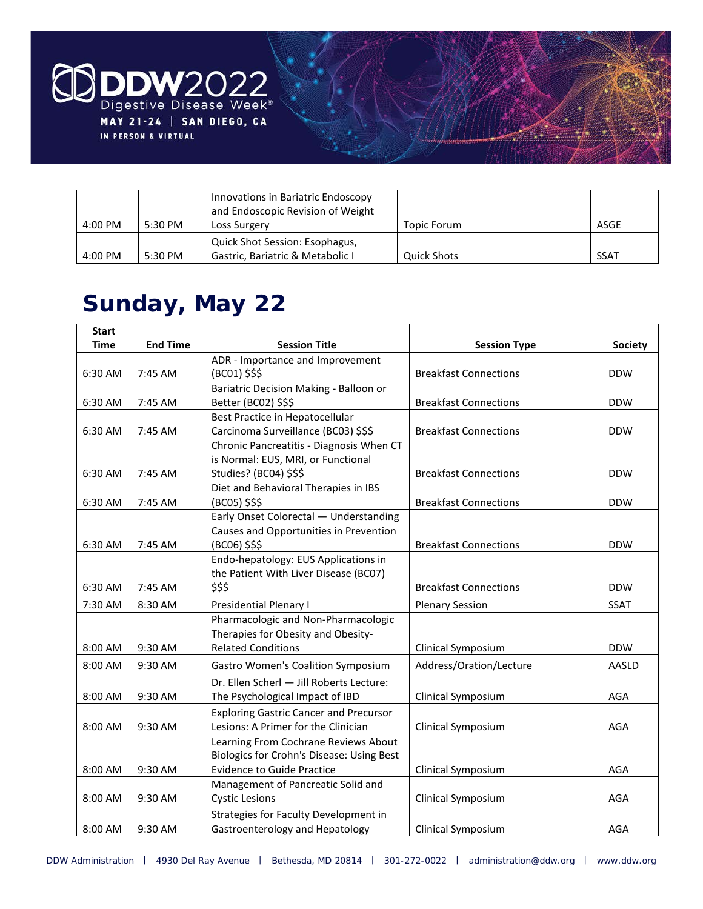

|                   |         | Innovations in Bariatric Endoscopy<br>and Endoscopic Revision of Weight |             |             |
|-------------------|---------|-------------------------------------------------------------------------|-------------|-------------|
| $4:00 \text{ PM}$ | 5:30 PM | Loss Surgery                                                            | Topic Forum | ASGE        |
|                   |         | Quick Shot Session: Esophagus,                                          |             |             |
| 4:00 PM           | 5:30 PM | Gastric, Bariatric & Metabolic I                                        | Quick Shots | <b>SSAT</b> |

### **Sunday, May 22**

| <b>Start</b> |                 |                                               |                              |                |
|--------------|-----------------|-----------------------------------------------|------------------------------|----------------|
| <b>Time</b>  | <b>End Time</b> | <b>Session Title</b>                          | <b>Session Type</b>          | <b>Society</b> |
|              |                 | ADR - Importance and Improvement              |                              |                |
| 6:30 AM      | 7:45 AM         | (BC01) \$\$\$                                 | <b>Breakfast Connections</b> | <b>DDW</b>     |
|              |                 | Bariatric Decision Making - Balloon or        |                              |                |
| 6:30 AM      | 7:45 AM         | Better (BC02) \$\$\$                          | <b>Breakfast Connections</b> | <b>DDW</b>     |
|              |                 | Best Practice in Hepatocellular               |                              |                |
| 6:30 AM      | 7:45 AM         | Carcinoma Surveillance (BC03) \$\$\$          | <b>Breakfast Connections</b> | <b>DDW</b>     |
|              |                 | Chronic Pancreatitis - Diagnosis When CT      |                              |                |
|              |                 | is Normal: EUS, MRI, or Functional            |                              |                |
| 6:30 AM      | 7:45 AM         | Studies? (BC04) \$\$\$                        | <b>Breakfast Connections</b> | <b>DDW</b>     |
|              |                 | Diet and Behavioral Therapies in IBS          |                              |                |
| 6:30 AM      | 7:45 AM         | (BC05) \$\$\$                                 | <b>Breakfast Connections</b> | <b>DDW</b>     |
|              |                 | Early Onset Colorectal - Understanding        |                              |                |
|              |                 | Causes and Opportunities in Prevention        |                              |                |
| 6:30 AM      | 7:45 AM         | (BC06) \$\$\$                                 | <b>Breakfast Connections</b> | <b>DDW</b>     |
|              |                 | Endo-hepatology: EUS Applications in          |                              |                |
|              |                 | the Patient With Liver Disease (BC07)         |                              |                |
| 6:30 AM      | 7:45 AM         | \$\$\$                                        | <b>Breakfast Connections</b> | <b>DDW</b>     |
| 7:30 AM      | 8:30 AM         | <b>Presidential Plenary I</b>                 | <b>Plenary Session</b>       | <b>SSAT</b>    |
|              |                 | Pharmacologic and Non-Pharmacologic           |                              |                |
|              |                 | Therapies for Obesity and Obesity-            |                              |                |
| 8:00 AM      | 9:30 AM         | <b>Related Conditions</b>                     | Clinical Symposium           | <b>DDW</b>     |
| 8:00 AM      | 9:30 AM         | <b>Gastro Women's Coalition Symposium</b>     | Address/Oration/Lecture      | AASLD          |
|              |                 | Dr. Ellen Scherl - Jill Roberts Lecture:      |                              |                |
| 8:00 AM      | 9:30 AM         | The Psychological Impact of IBD               | Clinical Symposium           | AGA            |
|              |                 | <b>Exploring Gastric Cancer and Precursor</b> |                              |                |
| 8:00 AM      | 9:30 AM         | Lesions: A Primer for the Clinician           | Clinical Symposium           | AGA            |
|              |                 | Learning From Cochrane Reviews About          |                              |                |
|              |                 | Biologics for Crohn's Disease: Using Best     |                              |                |
| 8:00 AM      | 9:30 AM         | <b>Evidence to Guide Practice</b>             | Clinical Symposium           | AGA            |
|              |                 | Management of Pancreatic Solid and            |                              |                |
| 8:00 AM      | 9:30 AM         | <b>Cystic Lesions</b>                         | Clinical Symposium           | AGA            |
|              |                 | Strategies for Faculty Development in         |                              |                |
| 8:00 AM      | 9:30 AM         | Gastroenterology and Hepatology               | Clinical Symposium           | AGA            |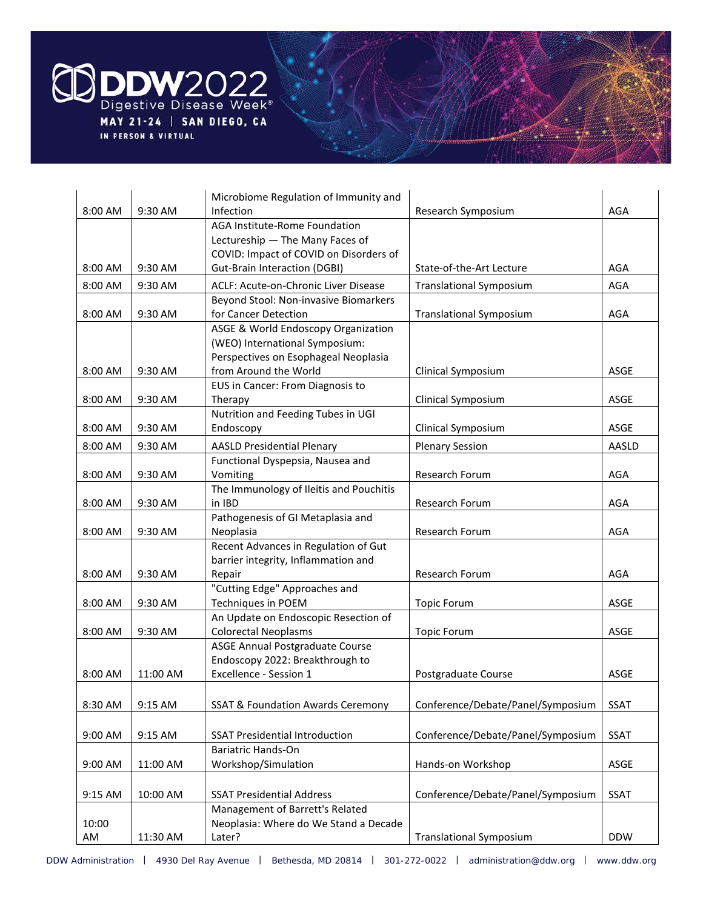

|         |          | Microbiome Regulation of Immunity and                               |                                   |             |
|---------|----------|---------------------------------------------------------------------|-----------------------------------|-------------|
| 8:00 AM | 9:30 AM  | <b>Infection</b>                                                    | Research Symposium                | AGA         |
|         |          | AGA Institute-Rome Foundation                                       |                                   |             |
|         |          | Lectureship - The Many Faces of                                     |                                   |             |
|         |          | COVID: Impact of COVID on Disorders of                              |                                   |             |
| 8:00 AM | 9:30 AM  | <b>Gut-Brain Interaction (DGBI)</b>                                 | State-of-the-Art Lecture          | AGA         |
| 8:00 AM | 9:30 AM  | ACLF: Acute-on-Chronic Liver Disease                                | <b>Translational Symposium</b>    | AGA         |
|         |          | Beyond Stool: Non-invasive Biomarkers                               |                                   |             |
| 8:00 AM | 9:30 AM  | for Cancer Detection                                                | <b>Translational Symposium</b>    | AGA         |
|         |          | ASGE & World Endoscopy Organization                                 |                                   |             |
|         |          | (WEO) International Symposium:                                      |                                   |             |
|         |          | Perspectives on Esophageal Neoplasia                                |                                   |             |
| 8:00 AM | 9:30 AM  | from Around the World                                               | Clinical Symposium                | ASGE        |
|         |          | EUS in Cancer: From Diagnosis to                                    |                                   |             |
| 8:00 AM | 9:30 AM  | Therapy                                                             | Clinical Symposium                | <b>ASGE</b> |
|         |          | Nutrition and Feeding Tubes in UGI                                  |                                   |             |
| 8:00 AM | 9:30 AM  | Endoscopy                                                           | Clinical Symposium                | <b>ASGE</b> |
| 8:00 AM | 9:30 AM  | <b>AASLD Presidential Plenary</b>                                   | <b>Plenary Session</b>            | AASLD       |
|         |          | Functional Dyspepsia, Nausea and                                    |                                   |             |
| 8:00 AM | 9:30 AM  | Vomiting                                                            | Research Forum                    | AGA         |
|         |          | The Immunology of Ileitis and Pouchitis                             |                                   |             |
| 8:00 AM | 9:30 AM  | in IBD                                                              | Research Forum                    | AGA         |
|         |          | Pathogenesis of GI Metaplasia and                                   |                                   |             |
| 8:00 AM | 9:30 AM  | Neoplasia                                                           | Research Forum                    | AGA         |
|         |          | Recent Advances in Regulation of Gut                                |                                   |             |
|         |          | barrier integrity, Inflammation and                                 |                                   |             |
| 8:00 AM | 9:30 AM  | Repair                                                              | Research Forum                    | AGA         |
|         |          | "Cutting Edge" Approaches and                                       |                                   |             |
| 8:00 AM | 9:30 AM  | Techniques in POEM                                                  | <b>Topic Forum</b>                | ASGE        |
| 8:00 AM | 9:30 AM  | An Update on Endoscopic Resection of<br><b>Colorectal Neoplasms</b> | <b>Topic Forum</b>                | ASGE        |
|         |          | ASGE Annual Postgraduate Course                                     |                                   |             |
|         |          | Endoscopy 2022: Breakthrough to                                     |                                   |             |
| 8:00 AM | 11:00 AM | Excellence - Session 1                                              | Postgraduate Course               | ASGE        |
|         |          |                                                                     |                                   |             |
|         | 9:15 AM  |                                                                     |                                   |             |
| 8:30 AM |          | <b>SSAT &amp; Foundation Awards Ceremony</b>                        | Conference/Debate/Panel/Symposium | <b>SSAT</b> |
|         |          |                                                                     |                                   |             |
| 9:00 AM | 9:15 AM  | <b>SSAT Presidential Introduction</b>                               | Conference/Debate/Panel/Symposium | <b>SSAT</b> |
|         |          | Bariatric Hands-On                                                  |                                   |             |
| 9:00 AM | 11:00 AM | Workshop/Simulation                                                 | Hands-on Workshop                 | ASGE        |
|         |          |                                                                     |                                   |             |
| 9:15 AM | 10:00 AM | <b>SSAT Presidential Address</b>                                    | Conference/Debate/Panel/Symposium | <b>SSAT</b> |
|         |          | Management of Barrett's Related                                     |                                   |             |
| 10:00   |          | Neoplasia: Where do We Stand a Decade                               |                                   |             |
| AM      | 11:30 AM | Later?                                                              | <b>Translational Symposium</b>    | <b>DDW</b>  |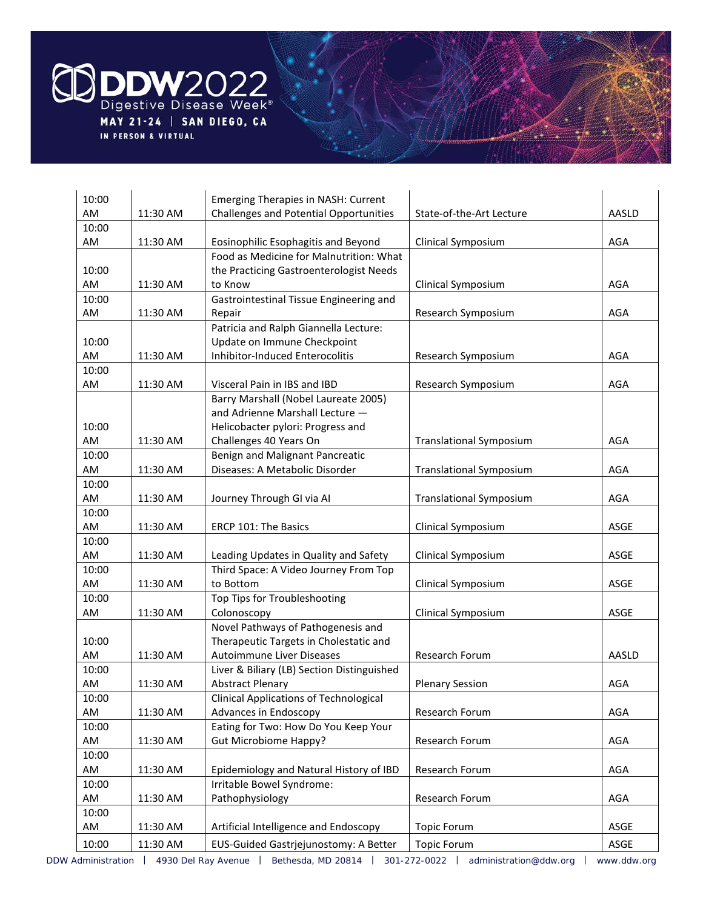

| 10:00       |          | <b>Emerging Therapies in NASH: Current</b>    |                                |            |
|-------------|----------|-----------------------------------------------|--------------------------------|------------|
| AM          | 11:30 AM | Challenges and Potential Opportunities        | State-of-the-Art Lecture       | AASLD      |
| 10:00       |          |                                               |                                |            |
| AM          | 11:30 AM | Eosinophilic Esophagitis and Beyond           | Clinical Symposium             | AGA        |
|             |          | Food as Medicine for Malnutrition: What       |                                |            |
| 10:00       |          | the Practicing Gastroenterologist Needs       |                                |            |
| AM          | 11:30 AM | to Know                                       | Clinical Symposium             | AGA        |
| 10:00       |          | Gastrointestinal Tissue Engineering and       |                                |            |
| AM          | 11:30 AM | Repair                                        | Research Symposium             | AGA        |
|             |          | Patricia and Ralph Giannella Lecture:         |                                |            |
| 10:00       |          | Update on Immune Checkpoint                   |                                |            |
| AM          | 11:30 AM | Inhibitor-Induced Enterocolitis               | Research Symposium             | AGA        |
| 10:00       |          |                                               |                                |            |
| AM          | 11:30 AM | Visceral Pain in IBS and IBD                  | Research Symposium             | AGA        |
|             |          | Barry Marshall (Nobel Laureate 2005)          |                                |            |
|             |          | and Adrienne Marshall Lecture -               |                                |            |
| 10:00       |          | Helicobacter pylori: Progress and             |                                |            |
| AM          | 11:30 AM | Challenges 40 Years On                        | <b>Translational Symposium</b> | AGA        |
| 10:00       |          | Benign and Malignant Pancreatic               |                                |            |
| AM          | 11:30 AM | Diseases: A Metabolic Disorder                | <b>Translational Symposium</b> | AGA        |
| 10:00       |          |                                               |                                |            |
| AM          | 11:30 AM | Journey Through GI via AI                     | <b>Translational Symposium</b> | AGA        |
| 10:00       |          |                                               |                                |            |
| AM          | 11:30 AM | ERCP 101: The Basics                          | Clinical Symposium             | ASGE       |
| 10:00       |          |                                               |                                |            |
| AM          | 11:30 AM | Leading Updates in Quality and Safety         | Clinical Symposium             | ASGE       |
| 10:00       |          | Third Space: A Video Journey From Top         |                                |            |
| AM          | 11:30 AM | to Bottom                                     | Clinical Symposium             | ASGE       |
| 10:00<br>AM | 11:30 AM | Top Tips for Troubleshooting<br>Colonoscopy   | Clinical Symposium             | ASGE       |
|             |          | Novel Pathways of Pathogenesis and            |                                |            |
| 10:00       |          | Therapeutic Targets in Cholestatic and        |                                |            |
| AM          | 11:30 AM | Autoimmune Liver Diseases                     | Research Forum                 | AASLD      |
| 10:00       |          | Liver & Biliary (LB) Section Distinguished    |                                |            |
| AM          | 11:30 AM | <b>Abstract Plenary</b>                       | <b>Plenary Session</b>         | AGA        |
| 10:00       |          | <b>Clinical Applications of Technological</b> |                                |            |
| AM          | 11:30 AM | Advances in Endoscopy                         | Research Forum                 | <b>AGA</b> |
| 10:00       |          | Eating for Two: How Do You Keep Your          |                                |            |
| AM          | 11:30 AM | <b>Gut Microbiome Happy?</b>                  | Research Forum                 | AGA        |
| 10:00       |          |                                               |                                |            |
| AM          | 11:30 AM | Epidemiology and Natural History of IBD       | Research Forum                 | AGA        |
| 10:00       |          | Irritable Bowel Syndrome:                     |                                |            |
| AM          | 11:30 AM | Pathophysiology                               | Research Forum                 | AGA        |
| 10:00       |          |                                               |                                |            |
| AM          | 11:30 AM | Artificial Intelligence and Endoscopy         | <b>Topic Forum</b>             | ASGE       |
| 10:00       | 11:30 AM | EUS-Guided Gastrjejunostomy: A Better         | <b>Topic Forum</b>             | ASGE       |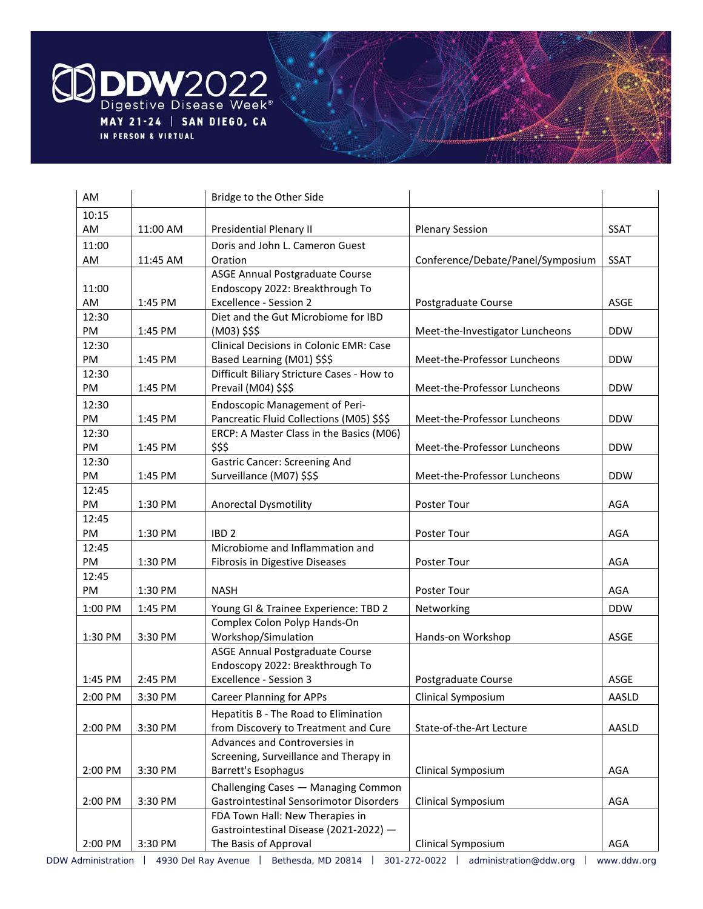

| AM          |          | Bridge to the Other Side                                                  |                                   |             |
|-------------|----------|---------------------------------------------------------------------------|-----------------------------------|-------------|
| 10:15       |          |                                                                           |                                   |             |
| AM          | 11:00 AM | Presidential Plenary II                                                   | <b>Plenary Session</b>            | SSAT        |
| 11:00       |          | Doris and John L. Cameron Guest                                           |                                   |             |
| AM          | 11:45 AM | Oration                                                                   | Conference/Debate/Panel/Symposium | <b>SSAT</b> |
|             |          | ASGE Annual Postgraduate Course                                           |                                   |             |
| 11:00       |          | Endoscopy 2022: Breakthrough To                                           |                                   |             |
| AM          | 1:45 PM  | <b>Excellence - Session 2</b>                                             | Postgraduate Course               | ASGE        |
| 12:30       |          | Diet and the Gut Microbiome for IBD                                       |                                   |             |
| PM          | 1:45 PM  | (M03) \$\$\$                                                              | Meet-the-Investigator Luncheons   | <b>DDW</b>  |
| 12:30<br>PM | 1:45 PM  | <b>Clinical Decisions in Colonic EMR: Case</b>                            | Meet-the-Professor Luncheons      | <b>DDW</b>  |
| 12:30       |          | Based Learning (M01) \$\$\$<br>Difficult Biliary Stricture Cases - How to |                                   |             |
| PM          | 1:45 PM  | Prevail (M04) \$\$\$                                                      | Meet-the-Professor Luncheons      | <b>DDW</b>  |
| 12:30       |          | <b>Endoscopic Management of Peri-</b>                                     |                                   |             |
| PM          | 1:45 PM  | Pancreatic Fluid Collections (M05) \$\$\$                                 | Meet-the-Professor Luncheons      | <b>DDW</b>  |
| 12:30       |          | ERCP: A Master Class in the Basics (M06)                                  |                                   |             |
| PM          | 1:45 PM  | \$\$\$                                                                    | Meet-the-Professor Luncheons      | <b>DDW</b>  |
| 12:30       |          | <b>Gastric Cancer: Screening And</b>                                      |                                   |             |
| PM          | 1:45 PM  | Surveillance (M07) \$\$\$                                                 | Meet-the-Professor Luncheons      | <b>DDW</b>  |
| 12:45       |          |                                                                           |                                   |             |
| PM          | 1:30 PM  | <b>Anorectal Dysmotility</b>                                              | Poster Tour                       | <b>AGA</b>  |
| 12:45       |          |                                                                           |                                   |             |
| PM          | 1:30 PM  | IBD <sub>2</sub>                                                          | Poster Tour                       | AGA         |
| 12:45       |          | Microbiome and Inflammation and                                           |                                   |             |
| PM          | 1:30 PM  | Fibrosis in Digestive Diseases                                            | Poster Tour                       | <b>AGA</b>  |
| 12:45       |          |                                                                           |                                   |             |
| PM          | 1:30 PM  | <b>NASH</b>                                                               | Poster Tour                       | AGA         |
| 1:00 PM     | 1:45 PM  | Young GI & Trainee Experience: TBD 2                                      | Networking                        | <b>DDW</b>  |
|             |          | Complex Colon Polyp Hands-On                                              |                                   |             |
| 1:30 PM     | 3:30 PM  | Workshop/Simulation<br>ASGE Annual Postgraduate Course                    | Hands-on Workshop                 | ASGE        |
|             |          | Endoscopy 2022: Breakthrough To                                           |                                   |             |
| 1:45 PM     | 2:45 PM  | <b>Excellence - Session 3</b>                                             | Postgraduate Course               | ASGE        |
| 2:00 PM     | 3:30 PM  | <b>Career Planning for APPs</b>                                           | Clinical Symposium                | AASLD       |
|             |          | Hepatitis B - The Road to Elimination                                     |                                   |             |
| 2:00 PM     | 3:30 PM  | from Discovery to Treatment and Cure                                      | State-of-the-Art Lecture          | AASLD       |
|             |          | Advances and Controversies in                                             |                                   |             |
|             |          | Screening, Surveillance and Therapy in                                    |                                   |             |
| 2:00 PM     | 3:30 PM  | Barrett's Esophagus                                                       | Clinical Symposium                | AGA         |
|             |          | Challenging Cases - Managing Common                                       |                                   |             |
| 2:00 PM     | 3:30 PM  | <b>Gastrointestinal Sensorimotor Disorders</b>                            | Clinical Symposium                | AGA         |
|             |          | FDA Town Hall: New Therapies in                                           |                                   |             |
|             |          | Gastrointestinal Disease (2021-2022) -                                    |                                   |             |
| 2:00 PM     | 3:30 PM  | The Basis of Approval                                                     | Clinical Symposium                | AGA         |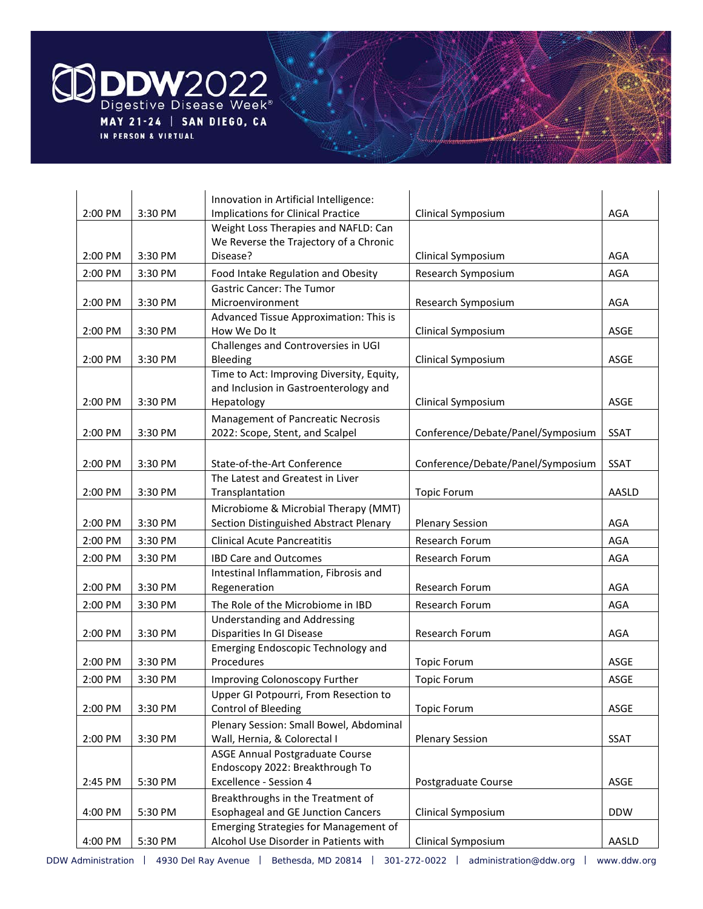

|         |         | Innovation in Artificial Intelligence:                               |                                   |             |
|---------|---------|----------------------------------------------------------------------|-----------------------------------|-------------|
| 2:00 PM | 3:30 PM | <b>Implications for Clinical Practice</b>                            | Clinical Symposium                | AGA         |
|         |         | Weight Loss Therapies and NAFLD: Can                                 |                                   |             |
|         |         | We Reverse the Trajectory of a Chronic                               |                                   |             |
| 2:00 PM | 3:30 PM | Disease?                                                             | Clinical Symposium                | AGA         |
| 2:00 PM | 3:30 PM | Food Intake Regulation and Obesity                                   | Research Symposium                | <b>AGA</b>  |
|         |         | <b>Gastric Cancer: The Tumor</b>                                     |                                   |             |
| 2:00 PM | 3:30 PM | Microenvironment                                                     | Research Symposium                | AGA         |
|         |         | Advanced Tissue Approximation: This is                               |                                   |             |
| 2:00 PM | 3:30 PM | How We Do It                                                         | Clinical Symposium                | <b>ASGE</b> |
|         |         | Challenges and Controversies in UGI                                  |                                   |             |
| 2:00 PM | 3:30 PM | Bleeding                                                             | Clinical Symposium                | ASGE        |
|         |         | Time to Act: Improving Diversity, Equity,                            |                                   |             |
| 2:00 PM | 3:30 PM | and Inclusion in Gastroenterology and<br>Hepatology                  | Clinical Symposium                | ASGE        |
|         |         |                                                                      |                                   |             |
| 2:00 PM | 3:30 PM | Management of Pancreatic Necrosis<br>2022: Scope, Stent, and Scalpel | Conference/Debate/Panel/Symposium | <b>SSAT</b> |
|         |         |                                                                      |                                   |             |
|         |         |                                                                      | Conference/Debate/Panel/Symposium |             |
| 2:00 PM | 3:30 PM | State-of-the-Art Conference<br>The Latest and Greatest in Liver      |                                   | <b>SSAT</b> |
| 2:00 PM | 3:30 PM | Transplantation                                                      | <b>Topic Forum</b>                | AASLD       |
|         |         | Microbiome & Microbial Therapy (MMT)                                 |                                   |             |
| 2:00 PM | 3:30 PM | Section Distinguished Abstract Plenary                               | <b>Plenary Session</b>            | AGA         |
| 2:00 PM | 3:30 PM | <b>Clinical Acute Pancreatitis</b>                                   | Research Forum                    | <b>AGA</b>  |
| 2:00 PM | 3:30 PM | <b>IBD Care and Outcomes</b>                                         | Research Forum                    | <b>AGA</b>  |
|         |         | Intestinal Inflammation, Fibrosis and                                |                                   |             |
| 2:00 PM | 3:30 PM | Regeneration                                                         | Research Forum                    | AGA         |
| 2:00 PM | 3:30 PM | The Role of the Microbiome in IBD                                    | Research Forum                    | AGA         |
|         |         | <b>Understanding and Addressing</b>                                  |                                   |             |
| 2:00 PM | 3:30 PM | Disparities In GI Disease                                            | Research Forum                    | AGA         |
|         |         | Emerging Endoscopic Technology and                                   |                                   |             |
| 2:00 PM | 3:30 PM | Procedures                                                           | <b>Topic Forum</b>                | ASGE        |
| 2:00 PM | 3:30 PM | Improving Colonoscopy Further                                        | <b>Topic Forum</b>                | ASGE        |
|         |         | Upper GI Potpourri, From Resection to                                |                                   |             |
| 2:00 PM | 3:30 PM | Control of Bleeding                                                  | <b>Topic Forum</b>                | ASGE        |
|         |         | Plenary Session: Small Bowel, Abdominal                              |                                   |             |
| 2:00 PM | 3:30 PM | Wall, Hernia, & Colorectal I                                         | <b>Plenary Session</b>            | SSAT        |
|         |         | ASGE Annual Postgraduate Course                                      |                                   |             |
|         |         | Endoscopy 2022: Breakthrough To                                      |                                   |             |
| 2:45 PM | 5:30 PM | <b>Excellence - Session 4</b>                                        | Postgraduate Course               | ASGE        |
|         |         | Breakthroughs in the Treatment of                                    |                                   |             |
| 4:00 PM | 5:30 PM | <b>Esophageal and GE Junction Cancers</b>                            | Clinical Symposium                | <b>DDW</b>  |
|         |         | Emerging Strategies for Management of                                |                                   |             |
| 4:00 PM | 5:30 PM | Alcohol Use Disorder in Patients with                                | Clinical Symposium                | AASLD       |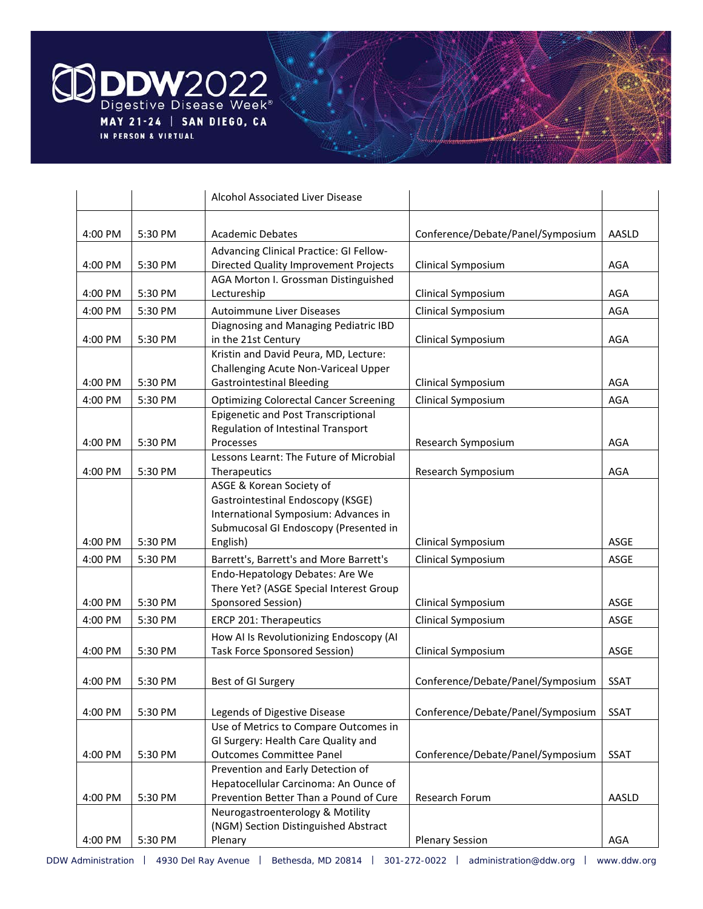

|         |         | Alcohol Associated Liver Disease                |                                   |             |
|---------|---------|-------------------------------------------------|-----------------------------------|-------------|
| 4:00 PM | 5:30 PM | <b>Academic Debates</b>                         | Conference/Debate/Panel/Symposium | AASLD       |
|         |         | Advancing Clinical Practice: GI Fellow-         |                                   |             |
| 4:00 PM | 5:30 PM | Directed Quality Improvement Projects           | Clinical Symposium                | AGA         |
|         |         | AGA Morton I. Grossman Distinguished            |                                   |             |
| 4:00 PM | 5:30 PM | Lectureship                                     | Clinical Symposium                | AGA         |
| 4:00 PM | 5:30 PM | Autoimmune Liver Diseases                       | Clinical Symposium                | <b>AGA</b>  |
|         |         | Diagnosing and Managing Pediatric IBD           |                                   |             |
| 4:00 PM | 5:30 PM | in the 21st Century                             | Clinical Symposium                | AGA         |
|         |         | Kristin and David Peura, MD, Lecture:           |                                   |             |
|         |         | Challenging Acute Non-Variceal Upper            |                                   |             |
| 4:00 PM | 5:30 PM | <b>Gastrointestinal Bleeding</b>                | Clinical Symposium                | <b>AGA</b>  |
| 4:00 PM | 5:30 PM | <b>Optimizing Colorectal Cancer Screening</b>   | Clinical Symposium                | <b>AGA</b>  |
|         |         | <b>Epigenetic and Post Transcriptional</b>      |                                   |             |
| 4:00 PM | 5:30 PM | Regulation of Intestinal Transport<br>Processes | Research Symposium                | AGA         |
|         |         | Lessons Learnt: The Future of Microbial         |                                   |             |
| 4:00 PM | 5:30 PM | Therapeutics                                    | Research Symposium                | AGA         |
|         |         | ASGE & Korean Society of                        |                                   |             |
|         |         | Gastrointestinal Endoscopy (KSGE)               |                                   |             |
|         |         | International Symposium: Advances in            |                                   |             |
|         |         | Submucosal GI Endoscopy (Presented in           |                                   |             |
| 4:00 PM | 5:30 PM | English)                                        | Clinical Symposium                | ASGE        |
| 4:00 PM | 5:30 PM | Barrett's, Barrett's and More Barrett's         | Clinical Symposium                | ASGE        |
|         |         | Endo-Hepatology Debates: Are We                 |                                   |             |
|         | 5:30 PM | There Yet? (ASGE Special Interest Group         |                                   | ASGE        |
| 4:00 PM |         | Sponsored Session)                              | Clinical Symposium                |             |
| 4:00 PM | 5:30 PM | ERCP 201: Therapeutics                          | Clinical Symposium                | ASGE        |
|         |         | How AI Is Revolutionizing Endoscopy (AI         |                                   |             |
| 4:00 PM | 5:30 PM | <b>Task Force Sponsored Session)</b>            | Clinical Symposium                | ASGE        |
| 4:00 PM | 5:30 PM | Best of GI Surgery                              | Conference/Debate/Panel/Symposium | <b>SSAT</b> |
|         |         |                                                 |                                   |             |
| 4:00 PM | 5:30 PM | Legends of Digestive Disease                    | Conference/Debate/Panel/Symposium | <b>SSAT</b> |
|         |         | Use of Metrics to Compare Outcomes in           |                                   |             |
|         |         | GI Surgery: Health Care Quality and             |                                   |             |
| 4:00 PM | 5:30 PM | <b>Outcomes Committee Panel</b>                 | Conference/Debate/Panel/Symposium | SSAT        |
|         |         | Prevention and Early Detection of               |                                   |             |
|         |         | Hepatocellular Carcinoma: An Ounce of           |                                   |             |
| 4:00 PM | 5:30 PM | Prevention Better Than a Pound of Cure          | Research Forum                    | AASLD       |
|         |         | Neurogastroenterology & Motility                |                                   |             |
|         |         | (NGM) Section Distinguished Abstract            |                                   |             |
| 4:00 PM | 5:30 PM | Plenary                                         | <b>Plenary Session</b>            | AGA         |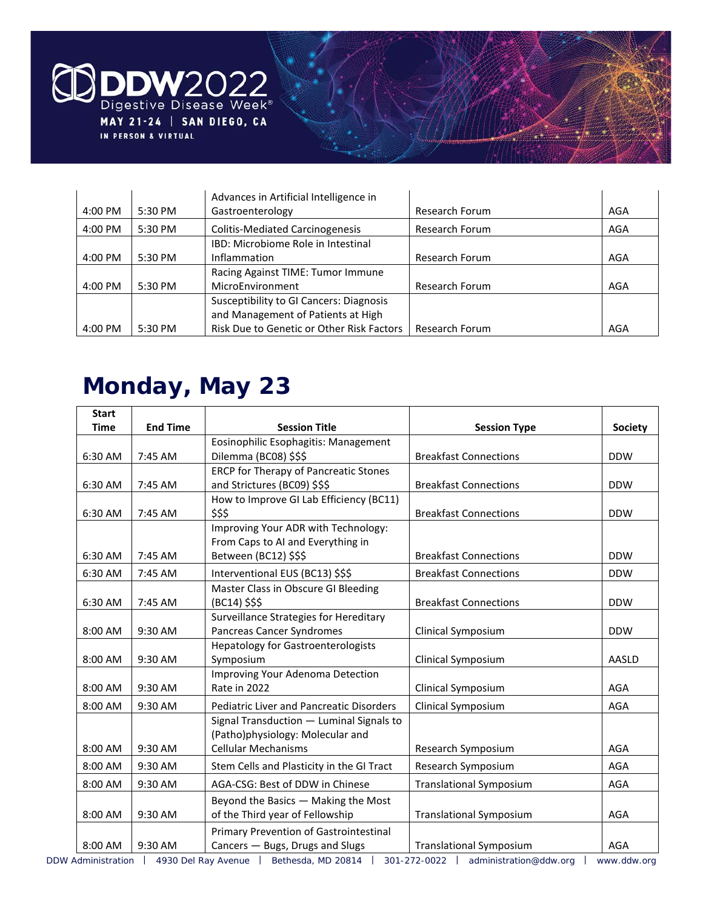

|         |         | Advances in Artificial Intelligence in         |                |     |
|---------|---------|------------------------------------------------|----------------|-----|
| 4:00 PM | 5:30 PM | Gastroenterology                               | Research Forum | AGA |
| 4:00 PM | 5:30 PM | <b>Colitis-Mediated Carcinogenesis</b>         | Research Forum | AGA |
|         |         | IBD: Microbiome Role in Intestinal             |                |     |
| 4:00 PM | 5:30 PM | <b>Inflammation</b>                            | Research Forum | AGA |
|         |         | Racing Against TIME: Tumor Immune              |                |     |
| 4:00 PM | 5:30 PM | MicroEnvironment                               | Research Forum | AGA |
|         |         | <b>Susceptibility to GI Cancers: Diagnosis</b> |                |     |
|         |         | and Management of Patients at High             |                |     |
| 4:00 PM | 5:30 PM | Risk Due to Genetic or Other Risk Factors      | Research Forum | AGA |

### **Monday, May 23**

| <b>Start</b> |                 |                                                 |                                                                                                                                                                                                                                                                                                                                         |                |
|--------------|-----------------|-------------------------------------------------|-----------------------------------------------------------------------------------------------------------------------------------------------------------------------------------------------------------------------------------------------------------------------------------------------------------------------------------------|----------------|
| <b>Time</b>  | <b>End Time</b> | <b>Session Title</b>                            | <b>Session Type</b>                                                                                                                                                                                                                                                                                                                     | <b>Society</b> |
|              |                 | Eosinophilic Esophagitis: Management            |                                                                                                                                                                                                                                                                                                                                         |                |
| 6:30 AM      | 7:45 AM         | Dilemma (BC08) \$\$\$                           | <b>Breakfast Connections</b>                                                                                                                                                                                                                                                                                                            | <b>DDW</b>     |
|              |                 | <b>ERCP for Therapy of Pancreatic Stones</b>    |                                                                                                                                                                                                                                                                                                                                         |                |
| 6:30 AM      | 7:45 AM         | and Strictures (BC09) \$\$\$                    | <b>Breakfast Connections</b>                                                                                                                                                                                                                                                                                                            | <b>DDW</b>     |
|              |                 | How to Improve GI Lab Efficiency (BC11)         |                                                                                                                                                                                                                                                                                                                                         |                |
| 6:30 AM      | 7:45 AM         | \$\$\$                                          | <b>Breakfast Connections</b>                                                                                                                                                                                                                                                                                                            | <b>DDW</b>     |
|              |                 | Improving Your ADR with Technology:             |                                                                                                                                                                                                                                                                                                                                         |                |
|              |                 | From Caps to AI and Everything in               |                                                                                                                                                                                                                                                                                                                                         |                |
| 6:30 AM      | 7:45 AM         | Between (BC12) \$\$\$                           | <b>Breakfast Connections</b>                                                                                                                                                                                                                                                                                                            | <b>DDW</b>     |
| 6:30 AM      | 7:45 AM         | Interventional EUS (BC13) \$\$\$                | <b>Breakfast Connections</b>                                                                                                                                                                                                                                                                                                            | <b>DDW</b>     |
|              |                 | Master Class in Obscure GI Bleeding             |                                                                                                                                                                                                                                                                                                                                         |                |
| 6:30 AM      | 7:45 AM         | (BC14) \$\$\$                                   | <b>Breakfast Connections</b>                                                                                                                                                                                                                                                                                                            | <b>DDW</b>     |
|              |                 | Surveillance Strategies for Hereditary          |                                                                                                                                                                                                                                                                                                                                         |                |
| 8:00 AM      | 9:30 AM         | Pancreas Cancer Syndromes                       | Clinical Symposium                                                                                                                                                                                                                                                                                                                      | <b>DDW</b>     |
|              |                 | <b>Hepatology for Gastroenterologists</b>       |                                                                                                                                                                                                                                                                                                                                         |                |
| 8:00 AM      | 9:30 AM         | Symposium                                       | Clinical Symposium                                                                                                                                                                                                                                                                                                                      | AASLD          |
|              |                 | Improving Your Adenoma Detection                |                                                                                                                                                                                                                                                                                                                                         |                |
| 8:00 AM      | 9:30 AM         | Rate in 2022                                    | Clinical Symposium                                                                                                                                                                                                                                                                                                                      | AGA            |
| 8:00 AM      | 9:30 AM         | <b>Pediatric Liver and Pancreatic Disorders</b> | Clinical Symposium                                                                                                                                                                                                                                                                                                                      | <b>AGA</b>     |
|              |                 | Signal Transduction - Luminal Signals to        |                                                                                                                                                                                                                                                                                                                                         |                |
|              |                 | (Patho)physiology: Molecular and                |                                                                                                                                                                                                                                                                                                                                         |                |
| 8:00 AM      | 9:30 AM         | <b>Cellular Mechanisms</b>                      | Research Symposium                                                                                                                                                                                                                                                                                                                      | <b>AGA</b>     |
| 8:00 AM      | 9:30 AM         | Stem Cells and Plasticity in the GI Tract       | Research Symposium                                                                                                                                                                                                                                                                                                                      | <b>AGA</b>     |
| 8:00 AM      | 9:30 AM         | AGA-CSG: Best of DDW in Chinese                 | <b>Translational Symposium</b>                                                                                                                                                                                                                                                                                                          | AGA            |
|              |                 | Beyond the Basics - Making the Most             |                                                                                                                                                                                                                                                                                                                                         |                |
| 8:00 AM      | 9:30 AM         | of the Third year of Fellowship                 | <b>Translational Symposium</b>                                                                                                                                                                                                                                                                                                          | AGA            |
|              |                 | Primary Prevention of Gastrointestinal          |                                                                                                                                                                                                                                                                                                                                         |                |
| 8:00 AM      | 9:30 AM         | Cancers - Bugs, Drugs and Slugs                 | Translational Symposium                                                                                                                                                                                                                                                                                                                 | AGA            |
|              |                 |                                                 | $\frac{1}{2}$ n $\frac{1}{2}$ 1.12 $\frac{1}{2}$ $\frac{1}{2}$ $\frac{1}{2}$ $\frac{1}{2}$ $\frac{1}{2}$ $\frac{1}{2}$ $\frac{1}{2}$ $\frac{1}{2}$ $\frac{1}{2}$ $\frac{1}{2}$ $\frac{1}{2}$ $\frac{1}{2}$ $\frac{1}{2}$ $\frac{1}{2}$ $\frac{1}{2}$ $\frac{1}{2}$ $\frac{1}{2}$ $\frac{1}{2}$ $\frac{1}{2}$ $\frac{$<br><b>COLLEGE</b> |                |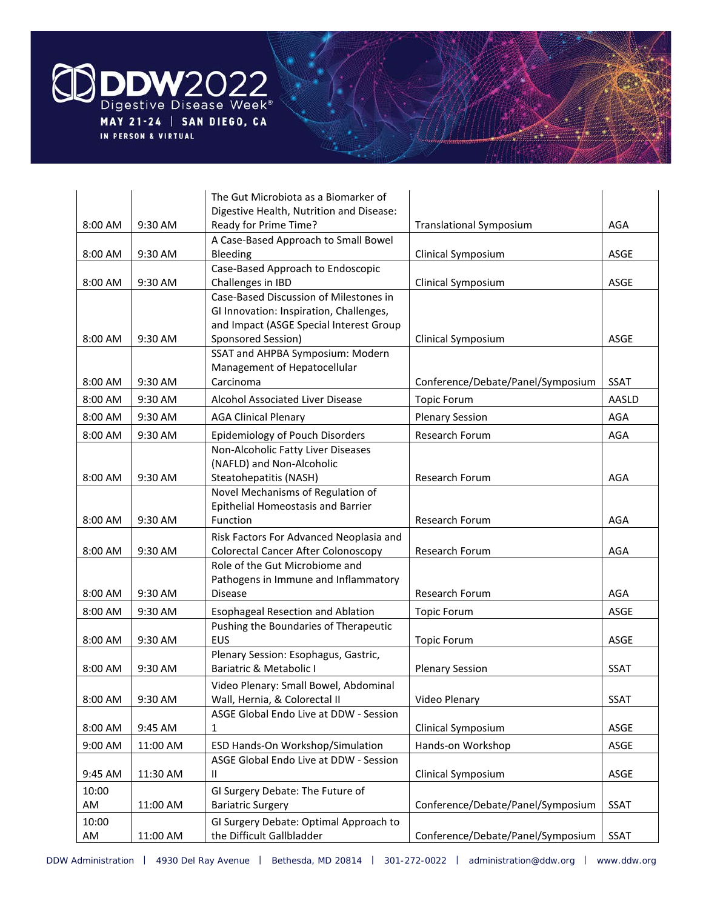

|             |           | The Gut Microbiota as a Biomarker of                                |                                   |             |
|-------------|-----------|---------------------------------------------------------------------|-----------------------------------|-------------|
|             |           | Digestive Health, Nutrition and Disease:                            |                                   |             |
| 8:00 AM     | 9:30 AM   | Ready for Prime Time?                                               | <b>Translational Symposium</b>    | AGA         |
|             |           | A Case-Based Approach to Small Bowel                                |                                   |             |
| 8:00 AM     | 9:30 AM   | Bleeding<br>Case-Based Approach to Endoscopic                       | Clinical Symposium                | ASGE        |
| 8:00 AM     | 9:30 AM   | Challenges in IBD                                                   | Clinical Symposium                | ASGE        |
|             |           | Case-Based Discussion of Milestones in                              |                                   |             |
|             |           | GI Innovation: Inspiration, Challenges,                             |                                   |             |
|             |           | and Impact (ASGE Special Interest Group                             |                                   |             |
| 8:00 AM     | $9:30$ AM | Sponsored Session)                                                  | Clinical Symposium                | ASGE        |
|             |           | SSAT and AHPBA Symposium: Modern                                    |                                   |             |
|             |           | Management of Hepatocellular                                        |                                   |             |
| 8:00 AM     | 9:30 AM   | Carcinoma                                                           | Conference/Debate/Panel/Symposium | <b>SSAT</b> |
| 8:00 AM     | 9:30 AM   | Alcohol Associated Liver Disease                                    | <b>Topic Forum</b>                | AASLD       |
| 8:00 AM     | 9:30 AM   | <b>AGA Clinical Plenary</b>                                         | <b>Plenary Session</b>            | AGA         |
| 8:00 AM     | 9:30 AM   | Epidemiology of Pouch Disorders                                     | Research Forum                    | AGA         |
|             |           | Non-Alcoholic Fatty Liver Diseases                                  |                                   |             |
| 8:00 AM     | 9:30 AM   | (NAFLD) and Non-Alcoholic<br>Steatohepatitis (NASH)                 | Research Forum                    | AGA         |
|             |           | Novel Mechanisms of Regulation of                                   |                                   |             |
|             |           | Epithelial Homeostasis and Barrier                                  |                                   |             |
| 8:00 AM     | 9:30 AM   | Function                                                            | Research Forum                    | AGA         |
|             |           | Risk Factors For Advanced Neoplasia and                             |                                   |             |
| 8:00 AM     | 9:30 AM   | <b>Colorectal Cancer After Colonoscopy</b>                          | Research Forum                    | AGA         |
|             |           | Role of the Gut Microbiome and                                      |                                   |             |
|             |           | Pathogens in Immune and Inflammatory                                |                                   |             |
| 8:00 AM     | 9:30 AM   | <b>Disease</b>                                                      | Research Forum                    | AGA         |
| 8:00 AM     | 9:30 AM   | <b>Esophageal Resection and Ablation</b>                            | <b>Topic Forum</b>                | ASGE        |
| 8:00 AM     | 9:30 AM   | Pushing the Boundaries of Therapeutic<br><b>EUS</b>                 | <b>Topic Forum</b>                | ASGE        |
|             |           | Plenary Session: Esophagus, Gastric,                                |                                   |             |
| 8:00 AM     | 9:30 AM   | Bariatric & Metabolic I                                             | <b>Plenary Session</b>            | <b>SSAT</b> |
|             |           | Video Plenary: Small Bowel, Abdominal                               |                                   |             |
| 8:00 AM     | 9:30 AM   | Wall, Hernia, & Colorectal II                                       | Video Plenary                     | SSAT        |
|             |           | ASGE Global Endo Live at DDW - Session                              |                                   |             |
| 8:00 AM     | 9:45 AM   | 1                                                                   | Clinical Symposium                | ASGE        |
| 9:00 AM     | 11:00 AM  | ESD Hands-On Workshop/Simulation                                    | Hands-on Workshop                 | ASGE        |
|             |           | ASGE Global Endo Live at DDW - Session                              |                                   |             |
| 9:45 AM     | 11:30 AM  | Ш.                                                                  | Clinical Symposium                | ASGE        |
| 10:00       |           | GI Surgery Debate: The Future of                                    |                                   |             |
| AM          | 11:00 AM  | <b>Bariatric Surgery</b>                                            | Conference/Debate/Panel/Symposium | <b>SSAT</b> |
| 10:00<br>AM | 11:00 AM  | GI Surgery Debate: Optimal Approach to<br>the Difficult Gallbladder | Conference/Debate/Panel/Symposium | SSAT        |
|             |           |                                                                     |                                   |             |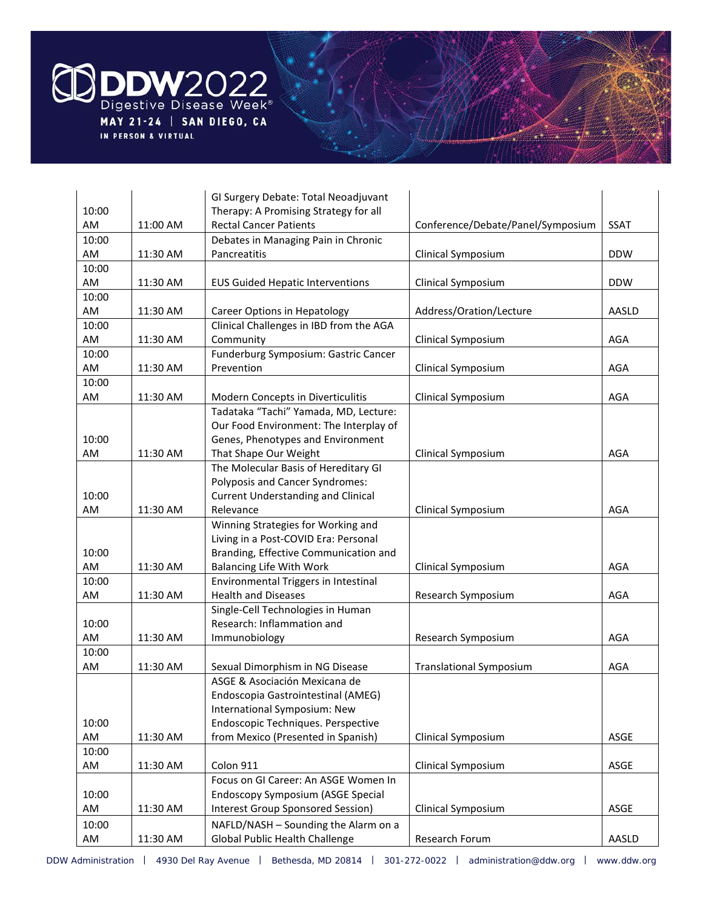

|       |          | GI Surgery Debate: Total Neoadjuvant      |                                   |             |
|-------|----------|-------------------------------------------|-----------------------------------|-------------|
| 10:00 |          | Therapy: A Promising Strategy for all     |                                   |             |
| AM    | 11:00 AM | <b>Rectal Cancer Patients</b>             | Conference/Debate/Panel/Symposium | <b>SSAT</b> |
| 10:00 |          | Debates in Managing Pain in Chronic       |                                   |             |
| AM    | 11:30 AM | Pancreatitis                              | Clinical Symposium                | <b>DDW</b>  |
| 10:00 |          |                                           |                                   |             |
| AM    | 11:30 AM | <b>EUS Guided Hepatic Interventions</b>   | Clinical Symposium                | <b>DDW</b>  |
| 10:00 |          |                                           |                                   |             |
| AM    | 11:30 AM | Career Options in Hepatology              | Address/Oration/Lecture           | AASLD       |
| 10:00 |          | Clinical Challenges in IBD from the AGA   |                                   |             |
| AM    | 11:30 AM | Community                                 | Clinical Symposium                | AGA         |
| 10:00 |          | Funderburg Symposium: Gastric Cancer      |                                   |             |
| AM    | 11:30 AM | Prevention                                | Clinical Symposium                | AGA         |
| 10:00 |          |                                           |                                   |             |
| AM    | 11:30 AM | Modern Concepts in Diverticulitis         | Clinical Symposium                | AGA         |
|       |          | Tadataka "Tachi" Yamada, MD, Lecture:     |                                   |             |
|       |          | Our Food Environment: The Interplay of    |                                   |             |
| 10:00 |          | Genes, Phenotypes and Environment         |                                   |             |
| AM    | 11:30 AM | That Shape Our Weight                     | Clinical Symposium                | AGA         |
|       |          | The Molecular Basis of Hereditary GI      |                                   |             |
|       |          | Polyposis and Cancer Syndromes:           |                                   |             |
| 10:00 |          | <b>Current Understanding and Clinical</b> |                                   |             |
| AM    | 11:30 AM | Relevance                                 | Clinical Symposium                | AGA         |
|       |          | Winning Strategies for Working and        |                                   |             |
|       |          | Living in a Post-COVID Era: Personal      |                                   |             |
| 10:00 |          | Branding, Effective Communication and     |                                   |             |
| AM    | 11:30 AM | <b>Balancing Life With Work</b>           | Clinical Symposium                | AGA         |
| 10:00 |          | Environmental Triggers in Intestinal      |                                   |             |
| AM    | 11:30 AM | <b>Health and Diseases</b>                | Research Symposium                | AGA         |
|       |          | Single-Cell Technologies in Human         |                                   |             |
| 10:00 |          | Research: Inflammation and                |                                   |             |
| AM    | 11:30 AM | Immunobiology                             | Research Symposium                | AGA         |
| 10:00 |          |                                           |                                   |             |
| AM    | 11:30 AM | Sexual Dimorphism in NG Disease           | <b>Translational Symposium</b>    | <b>AGA</b>  |
|       |          | ASGE & Asociación Mexicana de             |                                   |             |
|       |          | Endoscopia Gastrointestinal (AMEG)        |                                   |             |
|       |          | International Symposium: New              |                                   |             |
| 10:00 |          | Endoscopic Techniques. Perspective        |                                   |             |
| AM    | 11:30 AM | from Mexico (Presented in Spanish)        | Clinical Symposium                | ASGE        |
| 10:00 |          |                                           |                                   |             |
| AM    | 11:30 AM | Colon 911                                 | Clinical Symposium                | ASGE        |
|       |          | Focus on GI Career: An ASGE Women In      |                                   |             |
| 10:00 |          | <b>Endoscopy Symposium (ASGE Special</b>  |                                   |             |
| AM    | 11:30 AM | <b>Interest Group Sponsored Session)</b>  | Clinical Symposium                | ASGE        |
| 10:00 |          | NAFLD/NASH - Sounding the Alarm on a      |                                   |             |
| AM    | 11:30 AM | Global Public Health Challenge            | Research Forum                    | AASLD       |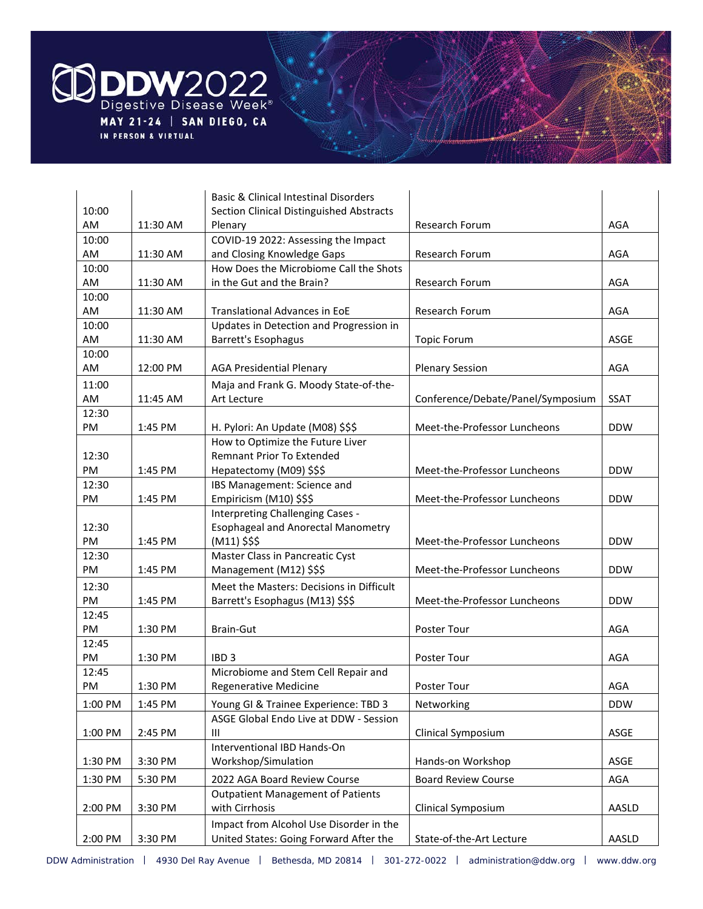

|           |          | <b>Basic &amp; Clinical Intestinal Disorders</b> |                                   |             |
|-----------|----------|--------------------------------------------------|-----------------------------------|-------------|
| 10:00     |          | <b>Section Clinical Distinguished Abstracts</b>  |                                   |             |
| AM        | 11:30 AM | Plenary                                          | Research Forum                    | AGA         |
| 10:00     |          | COVID-19 2022: Assessing the Impact              |                                   |             |
| AM        | 11:30 AM | and Closing Knowledge Gaps                       | Research Forum                    | AGA         |
| 10:00     |          | How Does the Microbiome Call the Shots           |                                   |             |
| AM        | 11:30 AM | in the Gut and the Brain?                        | Research Forum                    | AGA         |
| 10:00     |          |                                                  |                                   |             |
| AM        | 11:30 AM | Translational Advances in EoE                    | Research Forum                    | AGA         |
| 10:00     |          | Updates in Detection and Progression in          |                                   |             |
| AM        | 11:30 AM | <b>Barrett's Esophagus</b>                       | <b>Topic Forum</b>                | ASGE        |
| 10:00     |          |                                                  |                                   |             |
| AM        | 12:00 PM | <b>AGA Presidential Plenary</b>                  | <b>Plenary Session</b>            | AGA         |
| 11:00     |          | Maja and Frank G. Moody State-of-the-            |                                   |             |
| AM        | 11:45 AM | Art Lecture                                      | Conference/Debate/Panel/Symposium | <b>SSAT</b> |
| 12:30     |          |                                                  |                                   |             |
| PM        | 1:45 PM  | H. Pylori: An Update (M08) \$\$\$                | Meet-the-Professor Luncheons      | <b>DDW</b>  |
|           |          | How to Optimize the Future Liver                 |                                   |             |
| 12:30     |          | <b>Remnant Prior To Extended</b>                 |                                   |             |
| <b>PM</b> | 1:45 PM  | Hepatectomy (M09) \$\$\$                         | Meet-the-Professor Luncheons      | <b>DDW</b>  |
| 12:30     |          | IBS Management: Science and                      |                                   |             |
| PM        | 1:45 PM  | Empiricism (M10) \$\$\$                          | Meet-the-Professor Luncheons      | <b>DDW</b>  |
|           |          | Interpreting Challenging Cases -                 |                                   |             |
| 12:30     |          | <b>Esophageal and Anorectal Manometry</b>        |                                   |             |
| PM        | 1:45 PM  | $(M11)$ \$\$\$                                   | Meet-the-Professor Luncheons      | <b>DDW</b>  |
| 12:30     |          | Master Class in Pancreatic Cyst                  |                                   |             |
| PM        | 1:45 PM  | Management (M12) \$\$\$                          | Meet-the-Professor Luncheons      | <b>DDW</b>  |
| 12:30     |          | Meet the Masters: Decisions in Difficult         |                                   |             |
| PM        | 1:45 PM  | Barrett's Esophagus (M13) \$\$\$                 | Meet-the-Professor Luncheons      | <b>DDW</b>  |
| 12:45     |          |                                                  |                                   |             |
| PM        | 1:30 PM  | Brain-Gut                                        | Poster Tour                       | AGA         |
| 12:45     |          |                                                  |                                   |             |
| PM        | 1:30 PM  | IBD <sub>3</sub>                                 | Poster Tour                       | AGA         |
| 12:45     |          | Microbiome and Stem Cell Repair and              |                                   |             |
| PM        | 1:30 PM  | Regenerative Medicine                            | Poster Tour                       | AGA         |
| 1:00 PM   | 1:45 PM  | Young GI & Trainee Experience: TBD 3             | Networking                        | <b>DDW</b>  |
|           |          | ASGE Global Endo Live at DDW - Session           |                                   |             |
| 1:00 PM   | 2:45 PM  | Ш                                                | Clinical Symposium                | ASGE        |
|           |          | Interventional IBD Hands-On                      |                                   |             |
| 1:30 PM   | 3:30 PM  | Workshop/Simulation                              | Hands-on Workshop                 | ASGE        |
| 1:30 PM   | 5:30 PM  | 2022 AGA Board Review Course                     | <b>Board Review Course</b>        | <b>AGA</b>  |
|           |          | <b>Outpatient Management of Patients</b>         |                                   |             |
|           |          | with Cirrhosis                                   |                                   |             |
| 2:00 PM   | 3:30 PM  |                                                  | Clinical Symposium                | AASLD       |
|           |          | Impact from Alcohol Use Disorder in the          |                                   |             |
| 2:00 PM   | 3:30 PM  | United States: Going Forward After the           | State-of-the-Art Lecture          | AASLD       |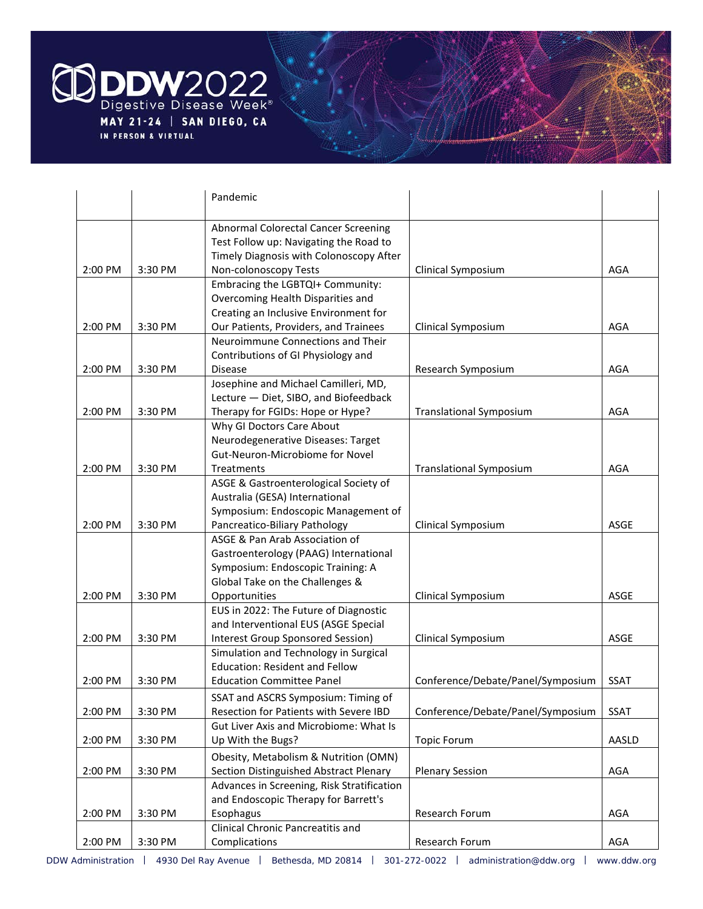

|         |         | Pandemic                                   |                                   |             |
|---------|---------|--------------------------------------------|-----------------------------------|-------------|
|         |         | Abnormal Colorectal Cancer Screening       |                                   |             |
|         |         | Test Follow up: Navigating the Road to     |                                   |             |
|         |         | Timely Diagnosis with Colonoscopy After    |                                   |             |
| 2:00 PM | 3:30 PM | Non-colonoscopy Tests                      | Clinical Symposium                | AGA         |
|         |         | Embracing the LGBTQI+ Community:           |                                   |             |
|         |         | Overcoming Health Disparities and          |                                   |             |
|         |         | Creating an Inclusive Environment for      |                                   |             |
| 2:00 PM | 3:30 PM | Our Patients, Providers, and Trainees      | Clinical Symposium                | AGA         |
|         |         | Neuroimmune Connections and Their          |                                   |             |
|         |         | Contributions of GI Physiology and         |                                   |             |
| 2:00 PM | 3:30 PM | <b>Disease</b>                             | Research Symposium                | AGA         |
|         |         | Josephine and Michael Camilleri, MD,       |                                   |             |
|         |         | Lecture - Diet, SIBO, and Biofeedback      |                                   |             |
| 2:00 PM | 3:30 PM | Therapy for FGIDs: Hope or Hype?           | <b>Translational Symposium</b>    | AGA         |
|         |         | Why GI Doctors Care About                  |                                   |             |
|         |         | Neurodegenerative Diseases: Target         |                                   |             |
|         |         | Gut-Neuron-Microbiome for Novel            |                                   |             |
| 2:00 PM | 3:30 PM | Treatments                                 | <b>Translational Symposium</b>    | AGA         |
|         |         | ASGE & Gastroenterological Society of      |                                   |             |
|         |         | Australia (GESA) International             |                                   |             |
|         |         | Symposium: Endoscopic Management of        |                                   |             |
| 2:00 PM | 3:30 PM | Pancreatico-Biliary Pathology              | Clinical Symposium                | ASGE        |
|         |         | ASGE & Pan Arab Association of             |                                   |             |
|         |         | Gastroenterology (PAAG) International      |                                   |             |
|         |         | Symposium: Endoscopic Training: A          |                                   |             |
|         |         | Global Take on the Challenges &            |                                   |             |
| 2:00 PM | 3:30 PM | Opportunities                              | Clinical Symposium                | ASGE        |
|         |         | EUS in 2022: The Future of Diagnostic      |                                   |             |
|         |         | and Interventional EUS (ASGE Special       |                                   |             |
| 2:00 PM | 3:30 PM | <b>Interest Group Sponsored Session)</b>   | Clinical Symposium                | ASGE        |
|         |         | Simulation and Technology in Surgical      |                                   |             |
|         |         | <b>Education: Resident and Fellow</b>      |                                   |             |
| 2:00 PM | 3:30 PM | <b>Education Committee Panel</b>           | Conference/Debate/Panel/Symposium | <b>SSAT</b> |
|         |         | SSAT and ASCRS Symposium: Timing of        |                                   |             |
| 2:00 PM | 3:30 PM | Resection for Patients with Severe IBD     | Conference/Debate/Panel/Symposium | <b>SSAT</b> |
|         |         | Gut Liver Axis and Microbiome: What Is     |                                   |             |
| 2:00 PM | 3:30 PM | Up With the Bugs?                          | <b>Topic Forum</b>                | AASLD       |
|         |         | Obesity, Metabolism & Nutrition (OMN)      |                                   |             |
| 2:00 PM | 3:30 PM | Section Distinguished Abstract Plenary     | <b>Plenary Session</b>            | AGA         |
|         |         | Advances in Screening, Risk Stratification |                                   |             |
|         |         | and Endoscopic Therapy for Barrett's       |                                   |             |
| 2:00 PM | 3:30 PM | Esophagus                                  | Research Forum                    | AGA         |
|         |         | Clinical Chronic Pancreatitis and          |                                   |             |
| 2:00 PM | 3:30 PM | Complications                              | Research Forum                    | AGA         |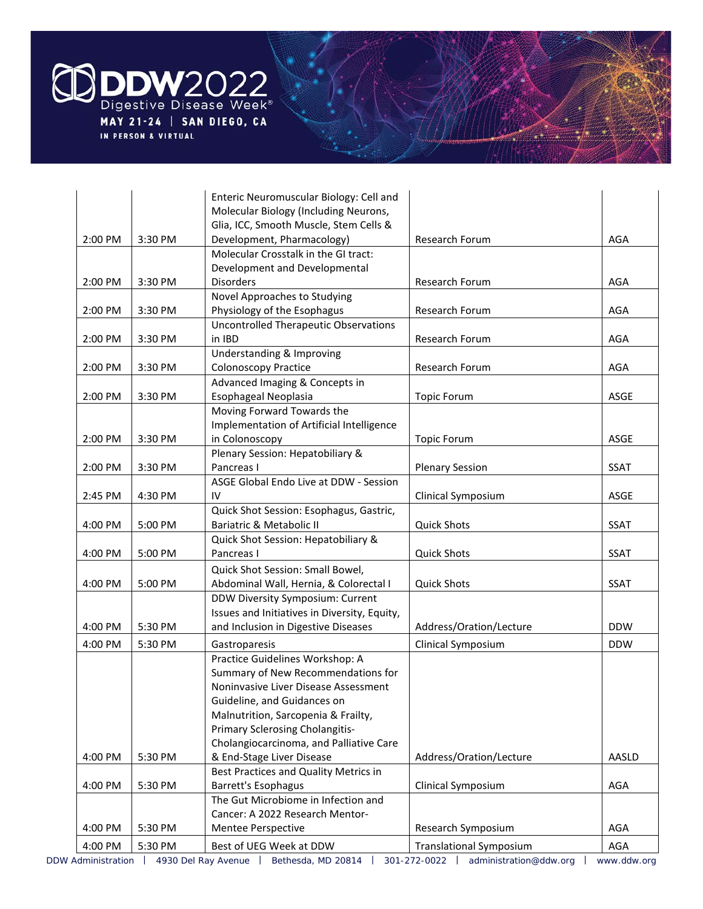

|         |         | Enteric Neuromuscular Biology: Cell and            |                                |             |
|---------|---------|----------------------------------------------------|--------------------------------|-------------|
|         |         | Molecular Biology (Including Neurons,              |                                |             |
|         |         | Glia, ICC, Smooth Muscle, Stem Cells &             |                                |             |
| 2:00 PM | 3:30 PM | Development, Pharmacology)                         | Research Forum                 | AGA         |
|         |         | Molecular Crosstalk in the GI tract:               |                                |             |
|         |         | Development and Developmental                      |                                |             |
| 2:00 PM | 3:30 PM | <b>Disorders</b>                                   | Research Forum                 | AGA         |
|         |         | Novel Approaches to Studying                       |                                |             |
| 2:00 PM | 3:30 PM | Physiology of the Esophagus                        | Research Forum                 | AGA         |
|         |         | <b>Uncontrolled Therapeutic Observations</b>       |                                |             |
| 2:00 PM | 3:30 PM | in IBD                                             | Research Forum                 | AGA         |
|         |         | Understanding & Improving                          |                                |             |
| 2:00 PM | 3:30 PM | <b>Colonoscopy Practice</b>                        | Research Forum                 | AGA         |
|         |         | Advanced Imaging & Concepts in                     |                                |             |
| 2:00 PM | 3:30 PM | Esophageal Neoplasia<br>Moving Forward Towards the | <b>Topic Forum</b>             | ASGE        |
|         |         | Implementation of Artificial Intelligence          |                                |             |
| 2:00 PM | 3:30 PM | in Colonoscopy                                     | <b>Topic Forum</b>             | ASGE        |
|         |         | Plenary Session: Hepatobiliary &                   |                                |             |
| 2:00 PM | 3:30 PM | Pancreas I                                         | <b>Plenary Session</b>         | <b>SSAT</b> |
|         |         | ASGE Global Endo Live at DDW - Session             |                                |             |
| 2:45 PM | 4:30 PM | IV                                                 | Clinical Symposium             | ASGE        |
|         |         | Quick Shot Session: Esophagus, Gastric,            |                                |             |
| 4:00 PM | 5:00 PM | Bariatric & Metabolic II                           | <b>Quick Shots</b>             | <b>SSAT</b> |
|         |         | Quick Shot Session: Hepatobiliary &                |                                |             |
| 4:00 PM | 5:00 PM | Pancreas I                                         | <b>Quick Shots</b>             | <b>SSAT</b> |
|         |         | Quick Shot Session: Small Bowel,                   |                                |             |
| 4:00 PM | 5:00 PM | Abdominal Wall, Hernia, & Colorectal I             | <b>Quick Shots</b>             | <b>SSAT</b> |
|         |         | DDW Diversity Symposium: Current                   |                                |             |
|         |         | Issues and Initiatives in Diversity, Equity,       |                                |             |
| 4:00 PM | 5:30 PM | and Inclusion in Digestive Diseases                | Address/Oration/Lecture        | <b>DDW</b>  |
| 4:00 PM | 5:30 PM | Gastroparesis                                      | Clinical Symposium             | <b>DDW</b>  |
|         |         | Practice Guidelines Workshop: A                    |                                |             |
|         |         | Summary of New Recommendations for                 |                                |             |
|         |         | Noninvasive Liver Disease Assessment               |                                |             |
|         |         | Guideline, and Guidances on                        |                                |             |
|         |         | Malnutrition, Sarcopenia & Frailty,                |                                |             |
|         |         | Primary Sclerosing Cholangitis-                    |                                |             |
|         |         | Cholangiocarcinoma, and Palliative Care            |                                |             |
| 4:00 PM | 5:30 PM | & End-Stage Liver Disease                          | Address/Oration/Lecture        | AASLD       |
|         |         | Best Practices and Quality Metrics in              |                                |             |
| 4:00 PM | 5:30 PM | Barrett's Esophagus                                | Clinical Symposium             | AGA         |
|         |         | The Gut Microbiome in Infection and                |                                |             |
|         |         | Cancer: A 2022 Research Mentor-                    |                                |             |
| 4:00 PM | 5:30 PM | Mentee Perspective                                 | Research Symposium             | AGA         |
| 4:00 PM | 5:30 PM | Best of UEG Week at DDW                            | <b>Translational Symposium</b> | AGA         |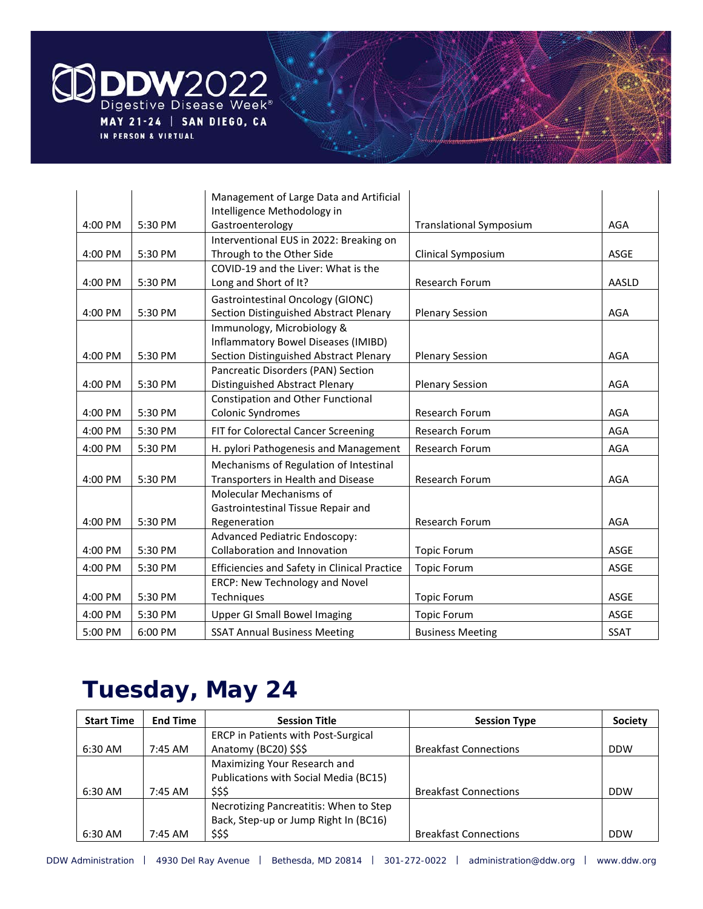

|         |         | Management of Large Data and Artificial             |                                |             |
|---------|---------|-----------------------------------------------------|--------------------------------|-------------|
|         |         | Intelligence Methodology in                         |                                |             |
| 4:00 PM | 5:30 PM | Gastroenterology                                    | <b>Translational Symposium</b> | AGA         |
|         |         | Interventional EUS in 2022: Breaking on             |                                |             |
| 4:00 PM | 5:30 PM | Through to the Other Side                           | Clinical Symposium             | ASGE        |
|         |         | COVID-19 and the Liver: What is the                 |                                |             |
| 4:00 PM | 5:30 PM | Long and Short of It?                               | <b>Research Forum</b>          | AASLD       |
|         |         | <b>Gastrointestinal Oncology (GIONC)</b>            |                                |             |
| 4:00 PM | 5:30 PM | Section Distinguished Abstract Plenary              | <b>Plenary Session</b>         | AGA         |
|         |         | Immunology, Microbiology &                          |                                |             |
|         |         | Inflammatory Bowel Diseases (IMIBD)                 |                                |             |
| 4:00 PM | 5:30 PM | Section Distinguished Abstract Plenary              | <b>Plenary Session</b>         | AGA         |
|         |         | Pancreatic Disorders (PAN) Section                  |                                |             |
| 4:00 PM | 5:30 PM | Distinguished Abstract Plenary                      | <b>Plenary Session</b>         | AGA         |
|         |         | Constipation and Other Functional                   |                                |             |
| 4:00 PM | 5:30 PM | Colonic Syndromes                                   | <b>Research Forum</b>          | AGA         |
| 4:00 PM | 5:30 PM | FIT for Colorectal Cancer Screening                 | Research Forum                 | <b>AGA</b>  |
| 4:00 PM | 5:30 PM | H. pylori Pathogenesis and Management               | <b>Research Forum</b>          | AGA         |
|         |         | Mechanisms of Regulation of Intestinal              |                                |             |
| 4:00 PM | 5:30 PM | Transporters in Health and Disease                  | Research Forum                 | <b>AGA</b>  |
|         |         | Molecular Mechanisms of                             |                                |             |
|         |         | Gastrointestinal Tissue Repair and                  |                                |             |
| 4:00 PM | 5:30 PM | Regeneration                                        | <b>Research Forum</b>          | AGA         |
|         |         | <b>Advanced Pediatric Endoscopy:</b>                |                                |             |
| 4:00 PM | 5:30 PM | Collaboration and Innovation                        | <b>Topic Forum</b>             | <b>ASGE</b> |
| 4:00 PM | 5:30 PM | <b>Efficiencies and Safety in Clinical Practice</b> | <b>Topic Forum</b>             | ASGE        |
|         |         | ERCP: New Technology and Novel                      |                                |             |
| 4:00 PM | 5:30 PM | Techniques                                          | <b>Topic Forum</b>             | ASGE        |
| 4:00 PM | 5:30 PM | <b>Upper GI Small Bowel Imaging</b>                 | <b>Topic Forum</b>             | <b>ASGE</b> |
| 5:00 PM | 6:00 PM | <b>SSAT Annual Business Meeting</b>                 | <b>Business Meeting</b>        | <b>SSAT</b> |

#### **Tuesday, May 24**

| <b>Start Time</b> | <b>End Time</b>   | <b>Session Title</b>                       | <b>Session Type</b>          | <b>Society</b> |
|-------------------|-------------------|--------------------------------------------|------------------------------|----------------|
|                   |                   | <b>ERCP</b> in Patients with Post-Surgical |                              |                |
| 6:30 AM           | 7:45 AM           | Anatomy (BC20) \$\$\$                      | <b>Breakfast Connections</b> | <b>DDW</b>     |
|                   |                   | Maximizing Your Research and               |                              |                |
|                   |                   | Publications with Social Media (BC15)      |                              |                |
| 6:30 AM           | $7:45 \text{ AM}$ | \$\$\$                                     | <b>Breakfast Connections</b> | <b>DDW</b>     |
|                   |                   | Necrotizing Pancreatitis: When to Step     |                              |                |
|                   |                   | Back, Step-up or Jump Right In (BC16)      |                              |                |
| 6:30 AM           | 7:45 AM           | \$\$\$                                     | <b>Breakfast Connections</b> | <b>DDW</b>     |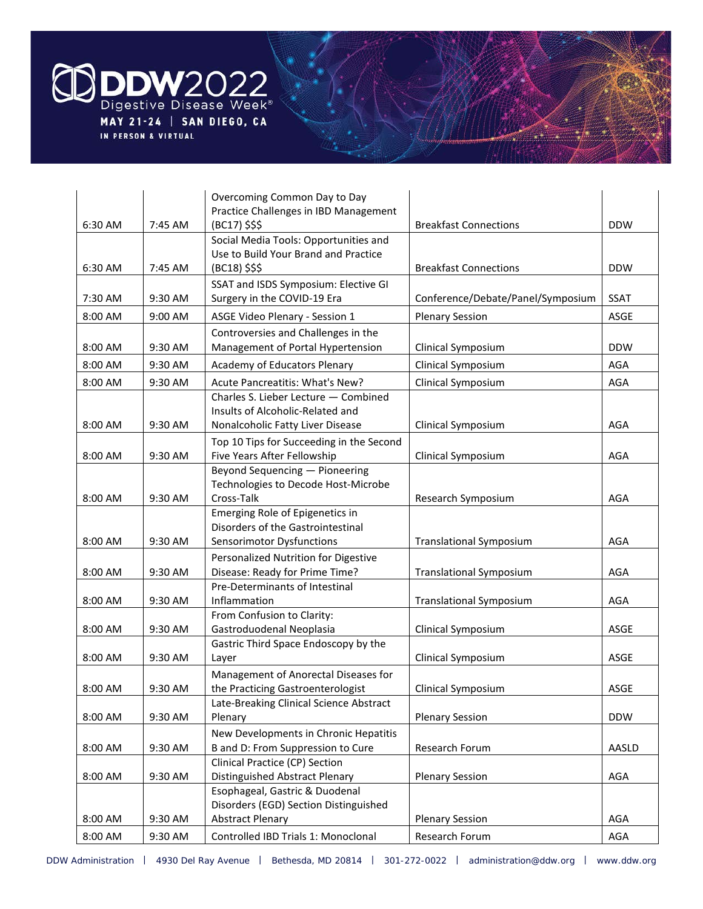

|         |         | Overcoming Common Day to Day                                              |                                   |             |
|---------|---------|---------------------------------------------------------------------------|-----------------------------------|-------------|
|         |         | Practice Challenges in IBD Management                                     |                                   |             |
| 6:30 AM | 7:45 AM | (BC17) \$\$\$<br>Social Media Tools: Opportunities and                    | <b>Breakfast Connections</b>      | <b>DDW</b>  |
|         |         | Use to Build Your Brand and Practice                                      |                                   |             |
| 6:30 AM | 7:45 AM | (BC18) \$\$\$                                                             | <b>Breakfast Connections</b>      | <b>DDW</b>  |
|         |         | SSAT and ISDS Symposium: Elective GI                                      |                                   |             |
| 7:30 AM | 9:30 AM | Surgery in the COVID-19 Era                                               | Conference/Debate/Panel/Symposium | <b>SSAT</b> |
| 8:00 AM | 9:00 AM | ASGE Video Plenary - Session 1                                            | <b>Plenary Session</b>            | ASGE        |
|         |         | Controversies and Challenges in the                                       |                                   |             |
| 8:00 AM | 9:30 AM | Management of Portal Hypertension                                         | Clinical Symposium                | <b>DDW</b>  |
| 8:00 AM | 9:30 AM | Academy of Educators Plenary                                              | Clinical Symposium                | AGA         |
| 8:00 AM | 9:30 AM | Acute Pancreatitis: What's New?                                           | Clinical Symposium                | <b>AGA</b>  |
|         |         | Charles S. Lieber Lecture - Combined                                      |                                   |             |
|         |         | Insults of Alcoholic-Related and                                          |                                   |             |
| 8:00 AM | 9:30 AM | Nonalcoholic Fatty Liver Disease                                          | Clinical Symposium                | <b>AGA</b>  |
|         |         | Top 10 Tips for Succeeding in the Second                                  |                                   |             |
| 8:00 AM | 9:30 AM | Five Years After Fellowship                                               | Clinical Symposium                | AGA         |
|         |         | Beyond Sequencing - Pioneering                                            |                                   |             |
| 8:00 AM | 9:30 AM | Technologies to Decode Host-Microbe<br>Cross-Talk                         | Research Symposium                | AGA         |
|         |         | Emerging Role of Epigenetics in                                           |                                   |             |
|         |         | Disorders of the Gastrointestinal                                         |                                   |             |
| 8:00 AM | 9:30 AM | Sensorimotor Dysfunctions                                                 | <b>Translational Symposium</b>    | AGA         |
|         |         | Personalized Nutrition for Digestive                                      |                                   |             |
| 8:00 AM | 9:30 AM | Disease: Ready for Prime Time?                                            | <b>Translational Symposium</b>    | AGA         |
|         |         | Pre-Determinants of Intestinal                                            |                                   |             |
| 8:00 AM | 9:30 AM | Inflammation                                                              | <b>Translational Symposium</b>    | AGA         |
|         |         | From Confusion to Clarity:                                                |                                   |             |
| 8:00 AM | 9:30 AM | Gastroduodenal Neoplasia                                                  | Clinical Symposium                | ASGE        |
|         |         | Gastric Third Space Endoscopy by the                                      |                                   |             |
| 8:00 AM | 9:30 AM | Layer                                                                     | Clinical Symposium                | ASGE        |
| 8:00 AM | 9:30 AM | Management of Anorectal Diseases for<br>the Practicing Gastroenterologist | Clinical Symposium                | ASGE        |
|         |         | Late-Breaking Clinical Science Abstract                                   |                                   |             |
| 8:00 AM | 9:30 AM | Plenary                                                                   | <b>Plenary Session</b>            | <b>DDW</b>  |
|         |         | New Developments in Chronic Hepatitis                                     |                                   |             |
| 8:00 AM | 9:30 AM | B and D: From Suppression to Cure                                         | Research Forum                    | AASLD       |
|         |         | Clinical Practice (CP) Section                                            |                                   |             |
| 8:00 AM | 9:30 AM | <b>Distinguished Abstract Plenary</b>                                     | <b>Plenary Session</b>            | <b>AGA</b>  |
|         |         | Esophageal, Gastric & Duodenal                                            |                                   |             |
|         |         | Disorders (EGD) Section Distinguished                                     |                                   |             |
| 8:00 AM | 9:30 AM | <b>Abstract Plenary</b>                                                   | <b>Plenary Session</b>            | AGA         |
| 8:00 AM | 9:30 AM | Controlled IBD Trials 1: Monoclonal                                       | Research Forum                    | AGA         |
|         |         |                                                                           |                                   |             |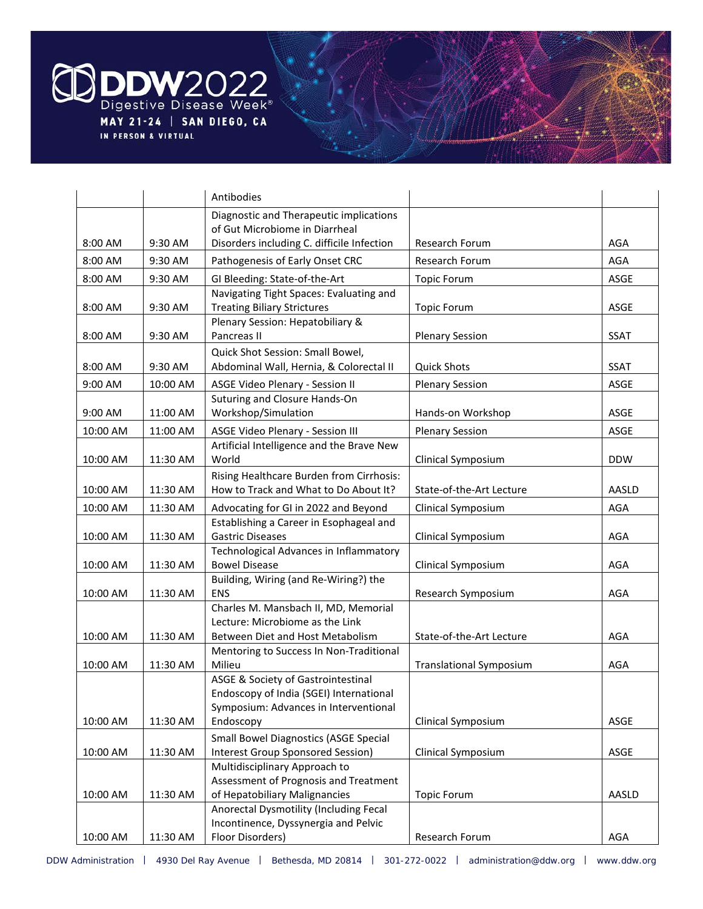

|          |          | Antibodies                                                                        |                                |             |
|----------|----------|-----------------------------------------------------------------------------------|--------------------------------|-------------|
|          |          | Diagnostic and Therapeutic implications                                           |                                |             |
|          |          | of Gut Microbiome in Diarrheal                                                    |                                |             |
| 8:00 AM  | 9:30 AM  | Disorders including C. difficile Infection                                        | Research Forum                 | AGA         |
| 8:00 AM  | 9:30 AM  | Pathogenesis of Early Onset CRC                                                   | <b>Research Forum</b>          | AGA         |
| 8:00 AM  | 9:30 AM  | GI Bleeding: State-of-the-Art                                                     | <b>Topic Forum</b>             | ASGE        |
|          |          | Navigating Tight Spaces: Evaluating and                                           |                                |             |
| 8:00 AM  | 9:30 AM  | <b>Treating Biliary Strictures</b>                                                | <b>Topic Forum</b>             | ASGE        |
|          |          | Plenary Session: Hepatobiliary &                                                  |                                |             |
| 8:00 AM  | 9:30 AM  | Pancreas II                                                                       | <b>Plenary Session</b>         | <b>SSAT</b> |
|          |          | Quick Shot Session: Small Bowel,                                                  |                                |             |
| 8:00 AM  | 9:30 AM  | Abdominal Wall, Hernia, & Colorectal II                                           | <b>Quick Shots</b>             | <b>SSAT</b> |
| 9:00 AM  | 10:00 AM | ASGE Video Plenary - Session II                                                   | <b>Plenary Session</b>         | ASGE        |
| 9:00 AM  | 11:00 AM | Suturing and Closure Hands-On<br>Workshop/Simulation                              | Hands-on Workshop              | ASGE        |
|          |          |                                                                                   |                                |             |
| 10:00 AM | 11:00 AM | ASGE Video Plenary - Session III                                                  | <b>Plenary Session</b>         | ASGE        |
| 10:00 AM | 11:30 AM | Artificial Intelligence and the Brave New<br>World                                | Clinical Symposium             | <b>DDW</b>  |
|          |          | Rising Healthcare Burden from Cirrhosis:                                          |                                |             |
| 10:00 AM | 11:30 AM | How to Track and What to Do About It?                                             | State-of-the-Art Lecture       | AASLD       |
| 10:00 AM | 11:30 AM | Advocating for GI in 2022 and Beyond                                              | Clinical Symposium             | AGA         |
|          |          | Establishing a Career in Esophageal and                                           |                                |             |
| 10:00 AM | 11:30 AM | <b>Gastric Diseases</b>                                                           | Clinical Symposium             | AGA         |
|          |          | Technological Advances in Inflammatory                                            |                                |             |
| 10:00 AM | 11:30 AM | <b>Bowel Disease</b>                                                              | Clinical Symposium             | AGA         |
| 10:00 AM | 11:30 AM | Building, Wiring (and Re-Wiring?) the<br>ENS                                      | Research Symposium             | AGA         |
|          |          | Charles M. Mansbach II, MD, Memorial                                              |                                |             |
|          |          | Lecture: Microbiome as the Link                                                   |                                |             |
| 10:00 AM | 11:30 AM | Between Diet and Host Metabolism                                                  | State-of-the-Art Lecture       | AGA         |
|          |          | Mentoring to Success In Non-Traditional                                           |                                |             |
| 10:00 AM | 11:30 AM | Milieu                                                                            | <b>Translational Symposium</b> | AGA         |
|          |          | ASGE & Society of Gastrointestinal                                                |                                |             |
|          |          | Endoscopy of India (SGEI) International                                           |                                |             |
|          |          | Symposium: Advances in Interventional                                             |                                | ASGE        |
| 10:00 AM | 11:30 AM | Endoscopy                                                                         | Clinical Symposium             |             |
| 10:00 AM | 11:30 AM | <b>Small Bowel Diagnostics (ASGE Special</b><br>Interest Group Sponsored Session) | Clinical Symposium             | ASGE        |
|          |          | Multidisciplinary Approach to                                                     |                                |             |
|          |          | Assessment of Prognosis and Treatment                                             |                                |             |
| 10:00 AM | 11:30 AM | of Hepatobiliary Malignancies                                                     | <b>Topic Forum</b>             | AASLD       |
|          |          | Anorectal Dysmotility (Including Fecal                                            |                                |             |
|          |          | Incontinence, Dyssynergia and Pelvic                                              |                                |             |
| 10:00 AM | 11:30 AM | Floor Disorders)                                                                  | Research Forum                 | AGA         |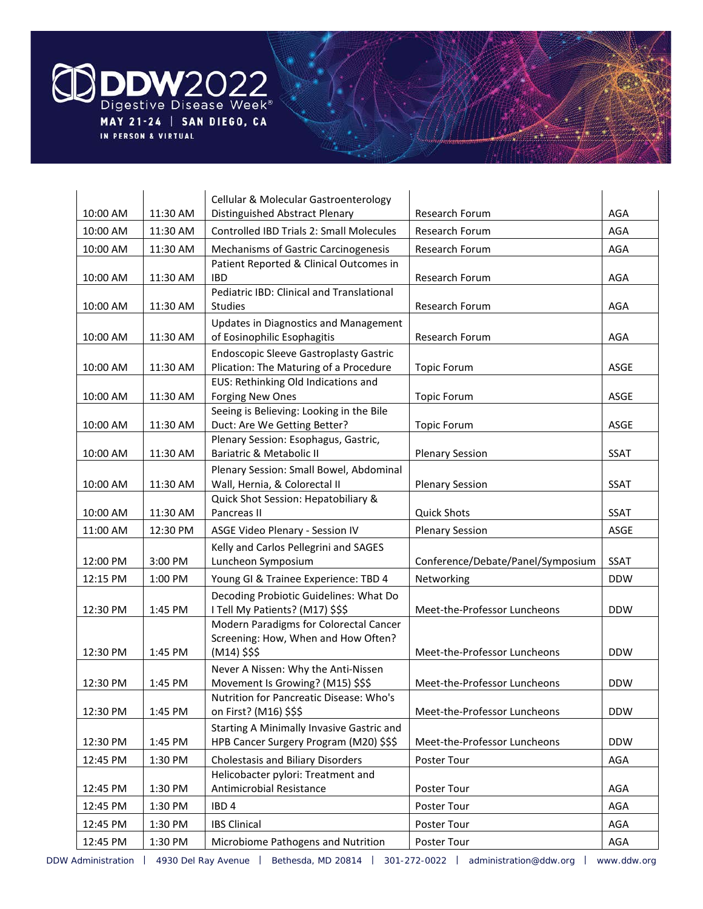

| 10:00 AM | 11:30 AM | Cellular & Molecular Gastroenterology<br>Distinguished Abstract Plenary     | Research Forum                    | AGA         |
|----------|----------|-----------------------------------------------------------------------------|-----------------------------------|-------------|
| 10:00 AM | 11:30 AM | Controlled IBD Trials 2: Small Molecules                                    | Research Forum                    | <b>AGA</b>  |
| 10:00 AM | 11:30 AM | Mechanisms of Gastric Carcinogenesis                                        | Research Forum                    | AGA         |
|          |          | Patient Reported & Clinical Outcomes in                                     |                                   |             |
| 10:00 AM | 11:30 AM | <b>IBD</b>                                                                  | Research Forum                    | <b>AGA</b>  |
| 10:00 AM | 11:30 AM | Pediatric IBD: Clinical and Translational<br><b>Studies</b>                 | Research Forum                    | AGA         |
| 10:00 AM | 11:30 AM | <b>Updates in Diagnostics and Management</b><br>of Eosinophilic Esophagitis | Research Forum                    | AGA         |
|          |          | <b>Endoscopic Sleeve Gastroplasty Gastric</b>                               |                                   |             |
| 10:00 AM | 11:30 AM | Plication: The Maturing of a Procedure                                      | <b>Topic Forum</b>                | ASGE        |
|          |          | EUS: Rethinking Old Indications and                                         |                                   |             |
| 10:00 AM | 11:30 AM | <b>Forging New Ones</b>                                                     | <b>Topic Forum</b>                | ASGE        |
|          |          | Seeing is Believing: Looking in the Bile                                    |                                   |             |
| 10:00 AM | 11:30 AM | Duct: Are We Getting Better?<br>Plenary Session: Esophagus, Gastric,        | <b>Topic Forum</b>                | ASGE        |
| 10:00 AM | 11:30 AM | Bariatric & Metabolic II                                                    | <b>Plenary Session</b>            | <b>SSAT</b> |
|          |          |                                                                             |                                   |             |
| 10:00 AM | 11:30 AM | Plenary Session: Small Bowel, Abdominal<br>Wall, Hernia, & Colorectal II    | <b>Plenary Session</b>            | <b>SSAT</b> |
|          |          | Quick Shot Session: Hepatobiliary &                                         |                                   |             |
| 10:00 AM | 11:30 AM | Pancreas II                                                                 | <b>Quick Shots</b>                | <b>SSAT</b> |
| 11:00 AM | 12:30 PM | ASGE Video Plenary - Session IV                                             | <b>Plenary Session</b>            | ASGE        |
|          |          | Kelly and Carlos Pellegrini and SAGES                                       |                                   |             |
| 12:00 PM | 3:00 PM  | Luncheon Symposium                                                          | Conference/Debate/Panel/Symposium | <b>SSAT</b> |
| 12:15 PM | 1:00 PM  | Young GI & Trainee Experience: TBD 4                                        | Networking                        | <b>DDW</b>  |
| 12:30 PM | 1:45 PM  | Decoding Probiotic Guidelines: What Do<br>I Tell My Patients? (M17) \$\$\$  | Meet-the-Professor Luncheons      | <b>DDW</b>  |
|          |          | Modern Paradigms for Colorectal Cancer                                      |                                   |             |
| 12:30 PM | 1:45 PM  | Screening: How, When and How Often?<br>$(M14)$ \$\$\$                       | Meet-the-Professor Luncheons      | <b>DDW</b>  |
| 12:30 PM | 1:45 PM  | Never A Nissen: Why the Anti-Nissen<br>Movement Is Growing? (M15) \$\$\$    | Meet-the-Professor Luncheons      | <b>DDW</b>  |
| 12:30 PM | 1:45 PM  | Nutrition for Pancreatic Disease: Who's<br>on First? (M16) \$\$\$           | Meet-the-Professor Luncheons      | <b>DDW</b>  |
|          |          | Starting A Minimally Invasive Gastric and                                   |                                   |             |
| 12:30 PM | 1:45 PM  | HPB Cancer Surgery Program (M20) \$\$\$                                     | Meet-the-Professor Luncheons      | <b>DDW</b>  |
| 12:45 PM | 1:30 PM  | Cholestasis and Biliary Disorders                                           | Poster Tour                       | AGA         |
| 12:45 PM | 1:30 PM  | Helicobacter pylori: Treatment and<br>Antimicrobial Resistance              | Poster Tour                       | AGA         |
| 12:45 PM | 1:30 PM  | IBD <sub>4</sub>                                                            | Poster Tour                       | AGA         |
| 12:45 PM | 1:30 PM  | <b>IBS Clinical</b>                                                         | Poster Tour                       | AGA         |
| 12:45 PM | 1:30 PM  | Microbiome Pathogens and Nutrition                                          | Poster Tour                       | AGA         |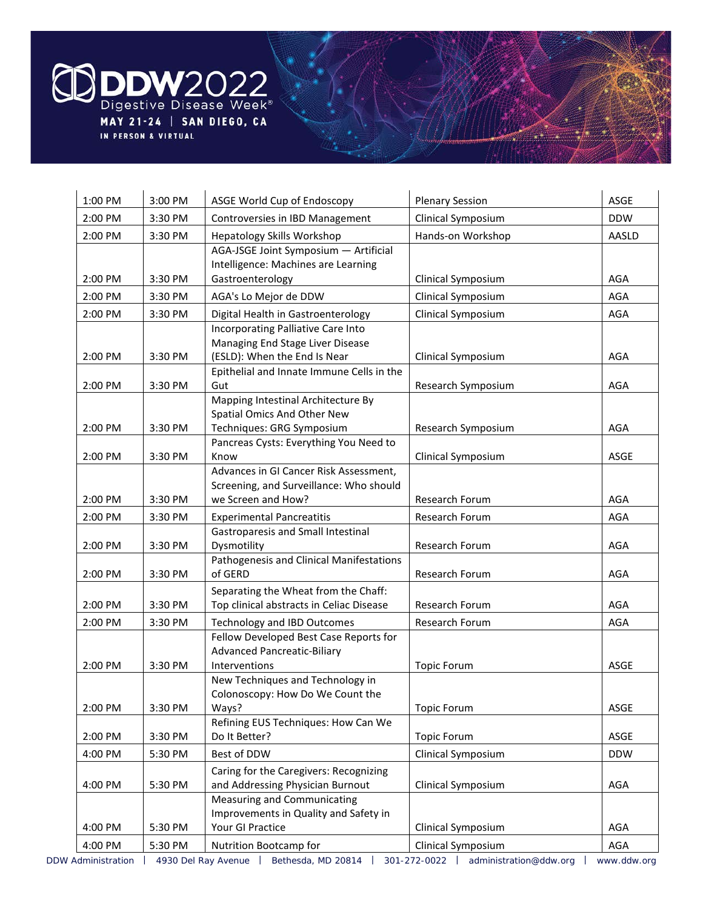

| 1:00 PM | 3:00 PM | ASGE World Cup of Endoscopy                                                                             | <b>Plenary Session</b> | ASGE       |
|---------|---------|---------------------------------------------------------------------------------------------------------|------------------------|------------|
| 2:00 PM | 3:30 PM | Controversies in IBD Management                                                                         | Clinical Symposium     | <b>DDW</b> |
| 2:00 PM | 3:30 PM | Hepatology Skills Workshop                                                                              | Hands-on Workshop      | AASLD      |
| 2:00 PM | 3:30 PM | AGA-JSGE Joint Symposium - Artificial<br>Intelligence: Machines are Learning<br>Gastroenterology        | Clinical Symposium     | AGA        |
| 2:00 PM | 3:30 PM | AGA's Lo Mejor de DDW                                                                                   | Clinical Symposium     | <b>AGA</b> |
| 2:00 PM | 3:30 PM | Digital Health in Gastroenterology                                                                      | Clinical Symposium     | <b>AGA</b> |
| 2:00 PM | 3:30 PM | Incorporating Palliative Care Into<br>Managing End Stage Liver Disease<br>(ESLD): When the End Is Near  | Clinical Symposium     | AGA        |
| 2:00 PM | 3:30 PM | Epithelial and Innate Immune Cells in the<br>Gut                                                        | Research Symposium     | AGA        |
| 2:00 PM | 3:30 PM | Mapping Intestinal Architecture By<br>Spatial Omics And Other New<br>Techniques: GRG Symposium          | Research Symposium     | AGA        |
|         |         | Pancreas Cysts: Everything You Need to                                                                  |                        |            |
| 2:00 PM | 3:30 PM | Know                                                                                                    | Clinical Symposium     | ASGE       |
| 2:00 PM | 3:30 PM | Advances in GI Cancer Risk Assessment,<br>Screening, and Surveillance: Who should<br>we Screen and How? | Research Forum         | AGA        |
| 2:00 PM | 3:30 PM | <b>Experimental Pancreatitis</b>                                                                        | Research Forum         | <b>AGA</b> |
| 2:00 PM | 3:30 PM | Gastroparesis and Small Intestinal<br>Dysmotility                                                       | Research Forum         | AGA        |
| 2:00 PM | 3:30 PM | Pathogenesis and Clinical Manifestations<br>of GERD                                                     | Research Forum         | AGA        |
| 2:00 PM | 3:30 PM | Separating the Wheat from the Chaff:<br>Top clinical abstracts in Celiac Disease                        | Research Forum         | AGA        |
| 2:00 PM | 3:30 PM | <b>Technology and IBD Outcomes</b>                                                                      | Research Forum         | AGA        |
| 2:00 PM | 3:30 PM | Fellow Developed Best Case Reports for<br><b>Advanced Pancreatic-Biliary</b><br>Interventions           | <b>Topic Forum</b>     | ASGE       |
| 2:00 PM | 3:30 PM | New Techniques and Technology in<br>Colonoscopy: How Do We Count the<br>Ways?                           | <b>Topic Forum</b>     | ASGE       |
| 2:00 PM | 3:30 PM | Refining EUS Techniques: How Can We<br>Do It Better?                                                    | <b>Topic Forum</b>     | ASGE       |
| 4:00 PM | 5:30 PM | Best of DDW                                                                                             | Clinical Symposium     | <b>DDW</b> |
| 4:00 PM | 5:30 PM | Caring for the Caregivers: Recognizing<br>and Addressing Physician Burnout                              | Clinical Symposium     | AGA        |
| 4:00 PM | 5:30 PM | Measuring and Communicating<br>Improvements in Quality and Safety in<br>Your GI Practice                | Clinical Symposium     | AGA        |
| 4:00 PM | 5:30 PM | Nutrition Bootcamp for                                                                                  | Clinical Symposium     | AGA        |